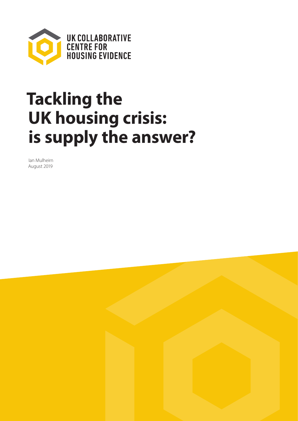

# **Tackling the UK housing crisis: is supply the answer?**

Ian Mulheirn August 2019

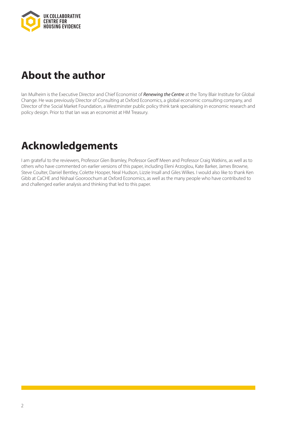

# **About the author**

Ian Mulheirn is the Executive Director and Chief Economist of *Renewing the Centre* at the Tony Blair Institute for Global Change. He was previously Director of Consulting at Oxford Economics, a global economic consulting company, and Director of the Social Market Foundation, a Westminster public policy think tank specialising in economic research and policy design. Prior to that Ian was an economist at HM Treasury.

# **Acknowledgements**

I am grateful to the reviewers, Professor Glen Bramley, Professor Geoff Meen and Professor Craig Watkins, as well as to others who have commented on earlier versions of this paper, including Eleni Arzoglou, Kate Barker, James Browne, Steve Coulter, Daniel Bentley, Colette Hooper, Neal Hudson, Lizzie Insall and Giles Wilkes. I would also like to thank Ken Gibb at CaCHE and Nishaal Gooroochurn at Oxford Economics, as well as the many people who have contributed to and challenged earlier analysis and thinking that led to this paper.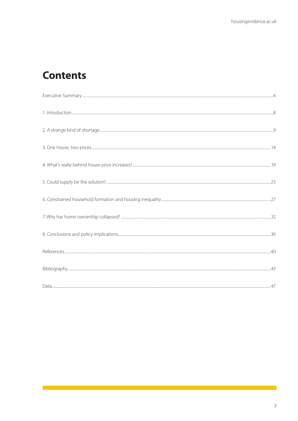# **Contents**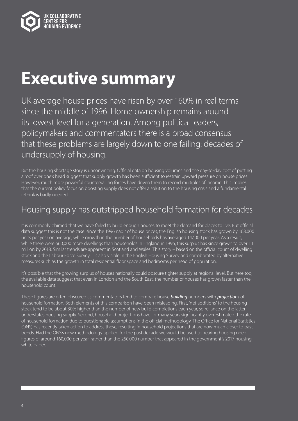<span id="page-3-0"></span>

# **Executive summary**

UK average house prices have risen by over 160% in real terms since the middle of 1996. Home ownership remains around its lowest level for a generation. Among political leaders, policymakers and commentators there is a broad consensus that these problems are largely down to one failing: decades of undersupply of housing.

But the housing shortage story is unconvincing. Official data on housing volumes and the day-to-day cost of putting a roof over one's head suggest that supply growth has been sufficient to restrain upward pressure on house prices. However, much more powerful countervailing forces have driven them to record multiples of income. This implies that the current policy focus on boosting supply does not offer a solution to the housing crisis and a fundamental rethink is badly needed.

### Housing supply has outstripped household formation for decades

It is commonly claimed that we have failed to build enough houses to meet the demand for places to live. But official data suggest this is not the case: since the 1996 nadir of house prices, the English housing stock has grown by 168,000 units per year on average, while growth in the number of households has averaged 147,000 per year. As a result, while there were 660,000 more dwellings than households in England in 1996, this surplus has since grown to over 1.1 million by 2018. Similar trends are apparent in Scotland and Wales. This story – based on the official count of dwelling stock and the Labour Force Survey – is also visible in the English Housing Survey and corroborated by alternative measures such as the growth in total residential floor space and bedrooms per head of population.

It's possible that the growing surplus of houses nationally could obscure tighter supply at regional level. But here too, the available data suggest that even in London and the South East, the number of houses has grown faster than the household count.

These figures are often obscured as commentators tend to compare house *building* numbers with *projections* of household formation. Both elements of this comparison have been misleading. First, 'net additions' to the housing stock tend to be about 30% higher than the number of new build completions each year, so reliance on the latter understates housing supply. Second, household projections have for many years significantly overestimated the rate of household formation due to questionable assumptions in the official methodology. The Office for National Statistics (ONS) has recently taken action to address these, resulting in household projections that are now much closer to past trends. Had the ONS's new methodology applied for the past decade we would be used to hearing housing need figures of around 160,000 per year, rather than the 250,000 number that appeared in the government's 2017 housing white paper.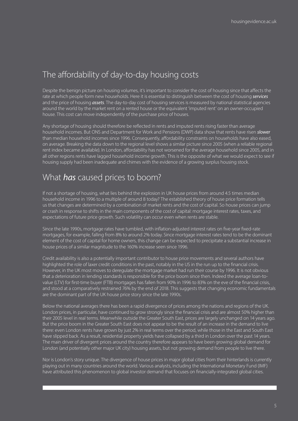### The affordability of day-to-day housing costs

Despite the benign picture on housing volumes, it's important to consider the cost of housing since that affects the rate at which people form new households. Here it is essential to distinguish between the cost of housing *services* and the price of housing *assets*. The day-to-day cost of housing services is measured by national statistical agencies around the world by the market rent on a rented house or the equivalent 'imputed rent' on an owner-occupied house. This cost can move independently of the purchase price of houses.

Any shortage of housing should therefore be reflected in rents and imputed rents rising faster than average household incomes. But ONS and Department for Work and Pensions (DWP) data show that rents have risen *slower* than median household incomes since 1996. Consequently, affordability constraints on households have also eased, on average. Breaking the data down to the regional level shows a similar picture since 2005 (when a reliable regional rent index became available). In London, affordability has not worsened for the average household since 2005, and in all other regions rents have lagged household income growth. This is the opposite of what we would expect to see if housing supply had been inadequate and chimes with the evidence of a growing surplus housing stock.

### What *has* caused prices to boom?

If not a shortage of housing, what lies behind the explosion in UK house prices from around 4.5 times median household income in 1996 to a multiple of around 8 today? The established theory of house price formation tells us that changes are determined by a combination of market rents and the cost of capital. So house prices can jump or crash in response to shifts in the main components of the cost of capital: mortgage interest rates, taxes, and expectations of future price growth. Such volatility can occur even when rents are stable.

Since the late 1990s, mortgage rates have tumbled, with inflation-adjusted interest rates on five-year fixed-rate mortgages, for example, falling from 8% to around 2% today. Since mortgage interest rates tend to be the dominant element of the cost of capital for home owners, this change can be expected to precipitate a substantial increase in house prices of a similar magnitude to the 160% increase seen since 1996.

Credit availability is also a potentially important contributor to house price movements and several authors have highlighted the role of laxer credit conditions in the past, notably in the US in the run up to the financial crisis. However, in the UK most moves to deregulate the mortgage market had run their course by 1996. It is not obvious that a deterioration in lending standards is responsible for the price boom since then. Indeed the average loan-tovalue (LTV) for first-time buyer (FTB) mortgages has fallen from 90% in 1996 to 83% on the eve of the financial crisis, and stood at a comparatively restrained 76% by the end of 2018. This suggests that changing economic fundamentals are the dominant part of the UK house price story since the late 1990s.

Below the national averages there has been a rapid divergence of prices among the nations and regions of the UK. London prices, in particular, have continued to grow strongly since the financial crisis and are almost 50% higher than their 2005 level in real terms. Meanwhile outside the Greater South East, prices are largely unchanged on 14 years ago. But the price boom in the Greater South East does not appear to be the result of an increase in the demand to live there: even London rents have grown by just 2% in real terms over the period, while those in the East and South East have slipped back. As a result, residential property yields have collapsed by a third in London over the past 14 years. The main driver of divergent prices around the country therefore appears to have been growing global demand for London (and potentially other major UK city) housing assets, but not growing demand from people to live there.

Nor is London's story unique. The divergence of house prices in major global cities from their hinterlands is currently playing out in many countries around the world. Various analysts, including the International Monetary Fund (IMF) have attributed this phenomenon to global investor demand that focuses on financially-integrated global cities.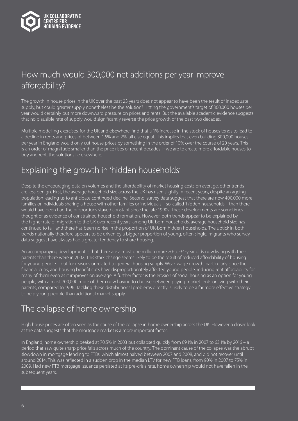

### How much would 300,000 net additions per year improve affordability?

The growth in house prices in the UK over the past 23 years does not appear to have been the result of inadequate supply, but could greater supply nonetheless be the solution? Hitting the government's target of 300,000 houses per year would certainly put more downward pressure on prices and rents. But the available academic evidence suggests that no plausible rate of supply would significantly reverse the price growth of the past two decades.

Multiple modelling exercises, for the UK and elsewhere, find that a 1% increase in the stock of houses tends to lead to a decline in rents and prices of between 1.5% and 2%, all else equal. This implies that even building 300,000 houses per year in England would only cut house prices by something in the order of 10% over the course of 20 years. This is an order of magnitude smaller than the price rises of recent decades. If we are to create more affordable houses to buy and rent, the solutions lie elsewhere.

### Explaining the growth in 'hidden households'

Despite the encouraging data on volumes and the affordability of market housing costs on average, other trends are less benign. First, the average household size across the UK has risen slightly in recent years, despite an ageing population leading us to anticipate continued decline. Second, survey data suggest that there are now 400,000 more families or individuals sharing a house with other families or individuals – so-called 'hidden households' - than there would have been had the proportions stayed constant since the late 1990s. These developments are sometimes thought of as evidence of constrained household formation. However, both trends appear to be explained by the higher rate of migration to the UK over recent years: among UK-born households, average household size has continued to fall, and there has been no rise in the proportion of UK-born hidden households. The uptick in both trends nationally therefore appears to be driven by a bigger proportion of young, often single, migrants who survey data suggest have always had a greater tendency to share housing.

An accompanying development is that there are almost one million more 20-to-34-year olds now living with their parents than there were in 2002. This stark change seems likely to be the result of reduced affordability of housing for young people – but for reasons unrelated to general housing supply. Weak wage growth, particularly since the financial crisis, and housing benefit cuts have disproportionately affected young people, reducing rent affordability for many of them even as it improves on average. A further factor is the erosion of social housing as an option for young people, with almost 700,000 more of them now having to choose between paying market rents or living with their parents, compared to 1996. Tackling these distributional problems directly is likely to be a far more effective strategy to help young people than additional market supply.

### The collapse of home ownership

High house prices are often seen as the cause of the collapse in home ownership across the UK. However a closer look at the data suggests that the mortgage market is a more important factor.

In England, home ownership peaked at 70.5% in 2003 but collapsed quickly from 69.1% in 2007 to 63.1% by 2016 – a period that saw quite sharp price falls across much of the country. The dominant cause of the collapse was the abrupt slowdown in mortgage lending to FTBs, which almost halved between 2007 and 2008, and did not recover until around 2014. This was reflected in a sudden drop in the median LTV for new FTB loans, from 90% in 2007 to 75% in 2009. Had new FTB mortgage issuance persisted at its pre-crisis rate, home ownership would not have fallen in the subsequent years.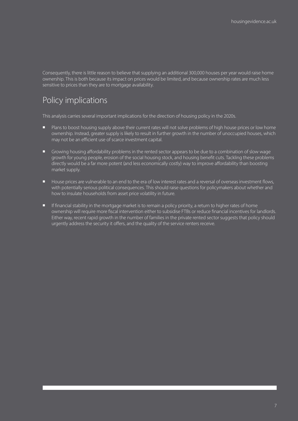Consequently, there is little reason to believe that supplying an additional 300,000 houses per year would raise home ownership. This is both because its impact on prices would be limited, and because ownership rates are much less sensitive to prices than they are to mortgage availability.

### Policy implications

This analysis carries several important implications for the direction of housing policy in the 2020s.

- **n** Plans to boost housing supply above their current rates will not solve problems of high house prices or low home ownership. Instead, greater supply is likely to result in further growth in the number of unoccupied houses, which may not be an efficient use of scarce investment capital.
- <sup>n</sup> Growing housing affordability problems in the rented sector appears to be due to a combination of slow wage growth for young people, erosion of the social housing stock, and housing benefit cuts. Tackling these problems directly would be a far more potent (and less economically costly) way to improve affordability than boosting market supply.
- House prices are vulnerable to an end to the era of low interest rates and a reversal of overseas investment flows, with potentially serious political consequences. This should raise questions for policymakers about whether and how to insulate households from asset price volatility in future.
- **n** If financial stability in the mortgage market is to remain a policy priority, a return to higher rates of home ownership will require more fiscal intervention either to subsidise FTBs or reduce financial incentives for landlords. Either way, recent rapid growth in the number of families in the private rented sector suggests that policy should urgently address the security it offers, and the quality of the service renters receive.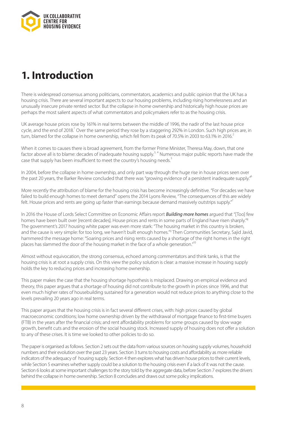<span id="page-7-0"></span>

# **1. Introduction**

There is widespread consensus among politicians, commentators, academics and public opinion that the UK has a housing crisis. There are several important aspects to our housing problems, including rising homelessness and an unusually insecure private rented sector. But the collapse in home ownership and historically high house prices are perhaps the most salient aspects of what commentators and policymakers refer to as the housing crisis.

UK average house prices rose by 161% in real terms between the middle of 1996, the nadir of the last house price cycle, and the end of 2018.<sup>1</sup> Over the same period they rose by a staggering 292% in London. Such high prices are, in turn, blamed for the collapse in home ownership, which fell from its peak of 70.5% in 2003 to 63.1% in 2016.<sup>2</sup>

When it comes to causes there is broad agreement, from the former Prime Minister, Theresa May, down, that one factor above all is to blame: decades of inadequate housing supply.<sup>3, 4</sup> Numerous major public reports have made the case that supply has been insufficient to meet the country's housing needs.<sup>5</sup>

In 2004, before the collapse in home ownership, and only part way through the huge rise in house prices seen over the past 20 years, the Barker Review concluded that there was "growing evidence of a persistent inadequate supply."<sup>6</sup>

More recently the attribution of blame for the housing crisis has become increasingly definitive. "For decades we have failed to build enough homes to meet demand" opens the 2014 Lyons Review, "The consequences of this are widely felt. House prices and rents are going up faster than earnings because demand massively outstrips supply."<sup>7</sup>

In 2016 the House of Lords Select Committee on Economic Affairs report *Building more homes* argued that "[Too] few homes have been built over [recent decades]. House prices and rents in some parts of England have risen sharply."<sup>8</sup> The government's 2017 housing white paper was even more stark: "The housing market in this country is broken, and the cause is very simple: for too long, we haven't built enough homes."9 Then Communities Secretary, Sajid Javid, hammered the message home: "Soaring prices and rising rents caused by a shortage of the right homes in the right places has slammed the door of the housing market in the face of a whole generation."<sup>10</sup>

Almost without equivocation, the strong consensus, echoed among commentators and think tanks, is that the housing crisis is at root a supply crisis. On this view the policy solution is clear: a massive increase in housing supply holds the key to reducing prices and increasing home ownership.

This paper makes the case that the housing shortage hypothesis is misplaced. Drawing on empirical evidence and theory, this paper argues that a shortage of housing did not contribute to the growth in prices since 1996, and that even much higher rates of housebuilding sustained for a generation would not reduce prices to anything close to the levels prevailing 20 years ago in real terms.

This paper argues that the housing crisis is in fact several different crises, with: high prices caused by global macroeconomic conditions; low home ownership driven by the withdrawal of mortgage finance to first-time buyers (FTB) in the years after the financial crisis; and rent affordability problems for some groups caused by slow wage growth, benefit cuts and the erosion of the social housing stock. Increased supply of housing does not offer a solution to any of these crises. It is time we looked to other policies to do so.

The paper is organised as follows. Section 2 sets out the data from various sources on housing supply volumes, household numbers and their evolution over the past 23 years. Section 3 turns to housing costs and affordability as more reliable indicators of the adequacy of housing supply. Section 4 then explores what has driven house prices to their current levels, while Section 5 examines whether supply could be a solution to the housing crisis even if a lack of it was not the cause. Section 6 looks at some important challenges to the story told by the aggregate data, before Section 7 explores the drivers behind the collapse in home ownership. Section 8 concludes and draws out some policy implications.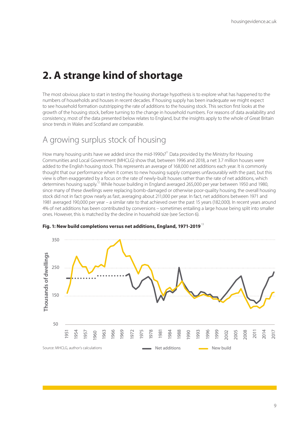## <span id="page-8-0"></span>**2. A strange kind of shortage**

The most obvious place to start in testing the housing shortage hypothesis is to explore what has happened to the numbers of households and houses in recent decades. If housing supply has been inadequate we might expect to see household formation outstripping the rate of additions to the housing stock. This section first looks at the growth of the housing stock, before turning to the change in household numbers. For reasons of data availability and consistency, most of the data presented below relates to England, but the insights apply to the whole of Great Britain since trends in Wales and Scotland are comparable.

### A growing surplus stock of housing

How many housing units have we added since the mid-1990s?<sup>11</sup> Data provided by the Ministry for Housing Communities and Local Government (MHCLG) show that, between 1996 and 2018, a net 3.7 million houses were added to the English housing stock. This represents an average of 168,000 net additions each year. It is commonly thought that our performance when it comes to new housing supply compares unfavourably with the past, but this view is often exaggerated by a focus on the rate of newly-built houses rather than the rate of net additions, which determines housing supply.<sup>12</sup> While house building in England averaged 265,000 per year between 1950 and 1980, since many of these dwellings were replacing bomb-damaged or otherwise poor-quality housing, the overall housing stock did not in fact grow nearly as fast, averaging about 211,000 per year. In fact, net additions between 1971 and 1981 averaged 190,000 per year – a similar rate to that achieved over the past 15 years (182,000). In recent years around 4% of net additions has been contributed by conversions – sometimes entailing a large house being split into smaller ones. However, this is matched by the decline in household size (see Section 6).



### **Fig. 1: New build completions versus net additions, England, 1971-2019**<sup>13</sup>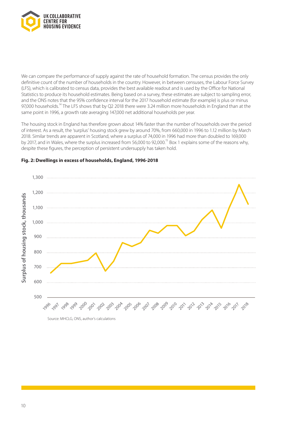

We can compare the performance of supply against the rate of household formation. The census provides the only definitive count of the number of households in the country. However, in between censuses, the Labour Force Survey (LFS), which is calibrated to census data, provides the best available readout and is used by the Office for National Statistics to produce its household estimates. Being based on a survey, these estimates are subject to sampling error, and the ONS notes that the 95% confidence interval for the 2017 household estimate (for example) is plus or minus 97,000 households.<sup>14</sup> The LFS shows that by Q2 2018 there were 3.24 million more households in England than at the same point in 1996, a growth rate averaging 147,000 net additional households per year.

The housing stock in England has therefore grown about 14% faster than the number of households over the period of interest. As a result, the 'surplus' housing stock grew by around 70%, from 660,000 in 1996 to 1.12 million by March 2018. Similar trends are apparent in Scotland, where a surplus of 74,000 in 1996 had more than doubled to 169,000 by 2017, and in Wales, where the surplus increased from 56,000 to 92,000.<sup>15</sup> Box 1 explains some of the reasons why, despite these figures, the perception of persistent undersupply has taken hold.



### **Fig. 2: Dwellings in excess of households, England, 1996-2018**

Source: MHCLG, ONS, author's calculations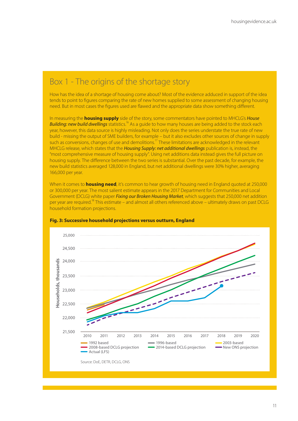### Box 1 - The origins of the shortage story

How has the idea of a shortage of housing come about? Most of the evidence adduced in support of the idea tends to point to figures comparing the rate of new homes supplied to some assessment of changing housing need. But in most cases the figures used are flawed and the appropriate data show something different.

In measuring the **housing supply** side of the story, some commentators have pointed to MHCLG's *House Building: new build dwellings* statistics.16 As a guide to how many houses are being added to the stock each year, however, this data source is highly misleading. Not only does the series understate the true rate of new build - missing the output of SME builders, for example – but it also excludes other sources of change in supply such as conversions, changes of use and demolitions.<sup>17</sup> These limitations are acknowledged in the relevant MHCLG release, which states that the *Housing Supply: net additional dwellings* publication is, instead, the "most comprehensive measure of housing supply". Using net additions data instead gives the full picture on housing supply. The difference between the two series is substantial. Over the past decade, for example, the new build statistics averaged 128,000 in England, but net additional dwellings were 30% higher, averaging 166,000 per year.

When it comes to **housing need**, it's common to hear growth of housing need in England quoted at 250,000 or 300,000 per year. The most salient estimate appears in the 2017 Department for Communities and Local Government (DCLG) white paper *Fixing our Broken Housing Market*, which suggests that 250,000 net addition per year are required.<sup>18</sup> This estimate – and almost all others referenced above – ultimately draws on past DCLG household formation projections.



#### **Fig. 3: Successive household projections versus outturn, England**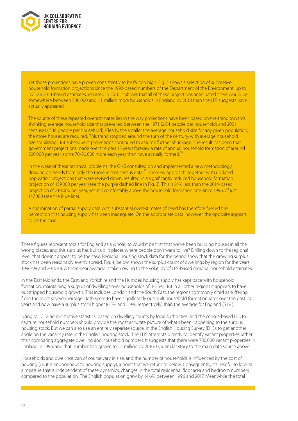

Yet those projections have proven consistently to be far too high. Fig. 3 shows a selection of successive household formation projections since the 1992-based numbers of the Department of the Environment, up to DCLG's 2014-based estimates, released in 2016. It shows that all of these projections anticipated there would be somewhere between 500,000 and 1.1 million more households in England by 2018 than the LFS suggests have actually appeared.

The source of these repeated overestimates lies in the way projections have been based on the trend towards shrinking average household size that prevailed between the 1971 (2.84 people per household) and 2001 censuses (2.38 people per household). Clearly, the smaller the average household size for any given population, the more houses are required. This trend stopped around the turn of the century, with average household size stabilizing. But subsequent projections continued to assume further shrinkage. The result has been that government projections made over the past 15 years foresaw a rate of annual household formation of around 220,000 per year, some 70-80,000 more each year than have actually formed.<sup>1</sup>

In the wake of these technical problems, the ONS consulted on and implemented a new methodology, drawing on trends from only the more recent census data.<sup>20</sup> The new approach, together with updated population projections that were revised down, resulted in a significantly reduced household formation projection of 159,000 per year (see the purple dashed line in Fig. 3). This is 24% less than the 2014-based projection of 210,000 per year, yet still comfortably above the household formation rate since 1996, of just 147,000 (see the blue line).

A combination of partial supply data with substantial overestimates of need has therefore fuelled the perception that housing supply has been inadequate. On the appropriate data, however, the opposite appears to be the case.

These figures represent totals for England as a whole, so could it be that that we've been building houses in all the wrong places, and this surplus has built up in places where people don't want to live? Drilling down to the regional level, that doesn't appear to be the case. Regional housing stock data for the period show that the growing surplus stock has been reasonably evenly spread. Fig. 4, below, shows the surplus count of dwellings by region for the years 1996-98 and 2016-18. A three-year average is taken owing to the volatility of LFS-based regional household estimates.

In the East Midlands, the East, and Yorkshire and the Humber, housing supply has kept pace with household formation, maintaining a surplus of dwellings over households of 3-3.5%. But in all other regions it appears to have outstripped household growth. This includes London and the South East, the regions commonly cited as suffering from the most severe shortage. Both seem to have significantly out-built household formation rates over the past 20 years and now have a surplus stock higher (6.5% and 5.9%, respectively) than the average for England (5.1%).

Using MHCLG administrative statistics, based on dwelling counts by local authorities, and the census-based LFS to capture household numbers should provide the most accurate picture of what's been happening to the surplus housing stock. But we can also use an entirely separate source, in the English Housing Survey (EHS), to get another angle on the vacancy rate in the English housing stock. The EHS attempts directly to identify vacant properties rather than comparing aggregate dwelling and household numbers. It suggests that there were 780,000 vacant properties in England in 1996, and that number had grown to 1.1 million by 2016-17, a similar story to the main data source above.

Households and dwellings can of course vary in size, and the number of households is influenced by the cost of housing (i.e. it is endogenous to housing supply), a point that we return to below. Consequently, it's helpful to look at a measure that is independent of these dynamics: changes in the total residential floor area and bedroom numbers compared to the population. The English population grew by 14.6% between 1996 and 2017. Meanwhile the total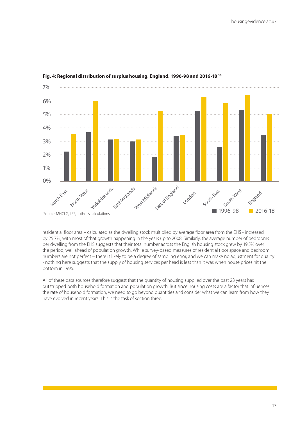

#### **Fig. 4: Regional distribution of surplus housing, England, 1996-98 and 2016-18 20**

residential floor area – calculated as the dwelling stock multiplied by average floor area from the EHS - increased by 25.7%, with most of that growth happening in the years up to 2008. Similarly, the average number of bedrooms per dwelling from the EHS suggests that their total number across the English housing stock grew by 19.5% over the period, well ahead of population growth. While survey-based measures of residential floor space and bedroom numbers are not perfect – there is likely to be a degree of sampling error, and we can make no adjustment for quality - nothing here suggests that the supply of housing services per head is less than it was when house prices hit the bottom in 1996.

All of these data sources therefore suggest that the quantity of housing supplied over the past 23 years has outstripped both household formation and population growth. But since housing costs are a factor that influences the rate of household formation, we need to go beyond quantities and consider what we can learn from how they have evolved in recent years. This is the task of section three.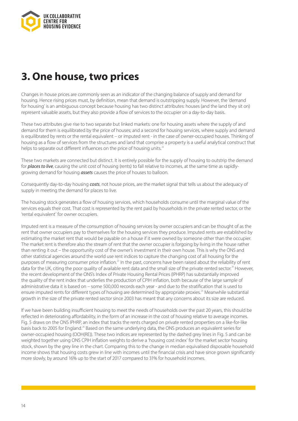<span id="page-13-0"></span>

# **3. One house, two prices**

Changes in house prices are commonly seen as an indicator of the changing balance of supply and demand for housing. Hence rising prices must, by definition, mean that demand is outstripping supply. However, the 'demand for housing' is an ambiguous concept because housing has two distinct attributes: houses (and the land they sit on) represent valuable assets, but they also provide a flow of services to the occupier on a day-to-day basis.

These two attributes give rise to two separate but linked markets: one for housing assets where the supply of and demand for them is equilibrated by the price of houses; and a second for housing services, where supply and demand is equilibrated by rents or the rental equivalent – or imputed rent - in the case of owner-occupied houses. Thinking of housing as a flow of services from the structures and land that comprise a property is a useful analytical construct that helps to separate out different influences on the price of housing units.<sup>22</sup>

These two markets are connected but distinct. It is entirely possible for the supply of housing to outstrip the demand for *places to live*, causing the unit cost of housing (rents) to fall relative to incomes, at the same time as rapidlygrowing demand for housing *assets* causes the price of houses to balloon.

Consequently day-to-day housing *costs*, not house prices, are the market signal that tells us about the adequacy of supply in meeting the demand for places to live.

The housing stock generates a flow of housing services, which households consume until the marginal value of the services equals their cost. That cost is represented by the rent paid by households in the private rented sector, or the 'rental equivalent' for owner occupiers.

Imputed rent is a measure of the consumption of housing services by owner occupiers and can be thought of as the rent that owner occupiers pay to themselves for the housing services they produce. Imputed rents are established by estimating the market rent that would be payable on a house if it were owned by someone other than the occupier. The market rent is therefore also the stream of rent that the owner occupier is forgoing by living in the house rather than renting it out – the opportunity cost of the owner's investment in their own house. This is why the ONS and other statistical agencies around the world use rent indices to capture the changing cost of all housing for the purposes of measuring consumer price inflation.<sup>23</sup> In the past, concerns have been raised about the reliability of rent data for the UK, citing the poor quality of available rent data and the small size of the private rented sector.<sup>24</sup> However, the recent development of the ONS's Index of Private Housing Rental Prices (IPHRP) has substantially improved the quality of the rent index that underlies the production of CPIH inflation, both because of the large sample of administrative data it is based on – some 500,000 records each year - and due to the stratification that is used to ensure imputed rents for different types of housing are determined by appropriate proxies.<sup>25</sup> Meanwhile substantial growth in the size of the private rented sector since 2003 has meant that any concerns about its size are reduced.

If we have been building insufficient housing to meet the needs of households over the past 20 years, this should be reflected in deteriorating affordability, in the form of an increase in the cost of housing relative to average incomes. Fig. 5 draws on the ONS IPHRP, an index that tracks the rents charged on private rented properties on a like-for-like basis back to 2005 for England.26 Based on the same underlying data, the ONS produces an equivalent series for owner-occupied housing (OOH(RE)). These two indices are represented by the dashed grey lines in Fig. 5 and can be weighted together using ONS CPIH inflation weights to derive a 'housing cost index' for the market sector housing stock, shown by the grey line in the chart. Comparing this to the change in median equivalised disposable household income shows that housing costs grew in line with incomes until the financial crisis and have since grown significantly more slowly, by around 16% up to the start of 2017 compared to 31% for household incomes.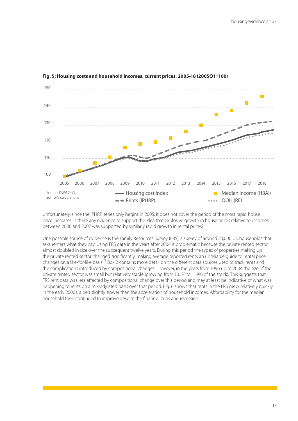

#### **Fig. 5: Housing costs and household incomes, current prices, 2005-18 (2005Q1=100)**

Unfortunately, since the IPHRP series only begins in 2005, it does not cover the period of the most rapid house price increases. Is there any evidence to support the idea that explosive growth in house prices relative to incomes between 2000 and 2007 was supported by similarly rapid growth in rental prices?

One possible source of evidence is the Family Resources Survey (FRS), a survey of around 20,000 UK households that asks renters what they pay. Using FRS data in the years after 2004 is problematic because the private rented sector almost doubled in size over the subsequent twelve years. During this period the types of properties making up the private rented sector changed significantly, making average reported rents an unreliable guide to rental price changes on a like-for-like basis.<sup>27</sup> Box 2 contains more detail on the different data sources used to track rents and the complications introduced by compositional changes. However, in the years from 1996 up to 2004 the size of the private rented sector was small but relatively stable (growing from 10.1% to 11.9% of the stock). This suggests that FRS rent data was less affected by compositional change over this period and may at least be indicative of what was happening to rents on a mix-adjusted basis over that period. Fig. 6 shows that rents in the FRS grew relatively quickly in the early 2000s, albeit slightly slower than the acceleration of household incomes. Affordability for the median household then continued to improve despite the financial crisis and recession.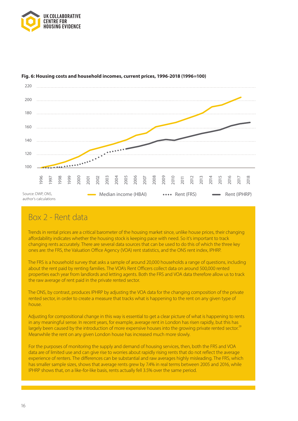



### **Fig. 6: Housing costs and household incomes, current prices, 1996-2018 (1996=100)**

### Box 2 - Rent data

Trends in rental prices are a critical barometer of the housing market since, unlike house prices, their changing affordability indicates whether the housing stock is keeping pace with need. So it's important to track changing rents accurately. There are several data sources that can be used to do this of which the three key ones are: the FRS, the Valuation Office Agency (VOA) rent statistics, and the ONS rent index, IPHRP.

The FRS is a household survey that asks a sample of around 20,000 households a range of questions, including about the rent paid by renting families. The VOA's Rent Officers collect data on around 500,000 rented properties each year from landlords and letting agents. Both the FRS and VOA data therefore allow us to track the raw average of rent paid in the private rented sector.

The ONS, by contrast, produces IPHRP by adjusting the VOA data for the changing composition of the private rented sector, in order to create a measure that tracks what is happening to the rent on any given type of house.

Adjusting for compositional change in this way is essential to get a clear picture of what is happening to rents in any meaningful sense. In recent years, for example, average rent in London has risen rapidly, but this has largely been caused by the introduction of more expensive houses into the growing private rented sector.<sup>29</sup> Meanwhile the rent on any given London house has increased much more slowly.

For the purposes of monitoring the supply and demand of housing services, then, both the FRS and VOA data are of limited use and can give rise to worries about rapidly rising rents that do not reflect the average experience of renters. The differences can be substantial and raw averages highly misleading. The FRS, which has smaller sample sizes, shows that average rents grew by 7.4% in real terms between 2005 and 2016, while IPHRP shows that, on a like-for-like basis, rents actually fell 3.5% over the same period.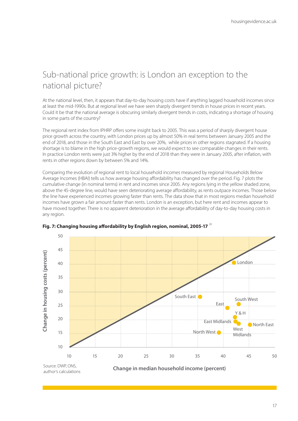### Sub-national price growth: is London an exception to the national picture?

At the national level, then, it appears that day-to-day housing costs have if anything lagged household incomes since at least the mid-1990s. But at regional level we have seen sharply divergent trends in house prices in recent years. Could it be that the national average is obscuring similarly divergent trends in costs, indicating a shortage of housing in some parts of the country?

The regional rent index from IPHRP offers some insight back to 2005. This was a period of sharply divergent house price growth across the country, with London prices up by almost 50% in real terms between January 2005 and the end of 2018, and those in the South East and East by over 20%, while prices in other regions stagnated. If a housing shortage is to blame in the high price-growth regions, we would expect to see comparable changes in their rents. In practice London rents were just 3% higher by the end of 2018 than they were in January 2005, after inflation, with rents in other regions down by between 5% and 14%.

Comparing the evolution of regional rent to local household incomes measured by regional Households Below Average Incomes (HBAI) tells us how average housing affordability has changed over the period. Fig. 7 plots the cumulative change (in nominal terms) in rent and incomes since 2005. Any regions lying in the yellow shaded zone, above the 45-degree line, would have seen deteriorating average affordability, as rents outpace incomes. Those below the line have experienced incomes growing faster than rents. The data show that in most regions median household incomes have grown a fair amount faster than rents. London is an exception, but here rent and incomes appear to have moved together. There is no apparent deterioration in the average affordability of day-to-day housing costs in any region.



### **Fig. 7: Changing housing affordability by English region, nominal, 2005-17** <sup>28</sup>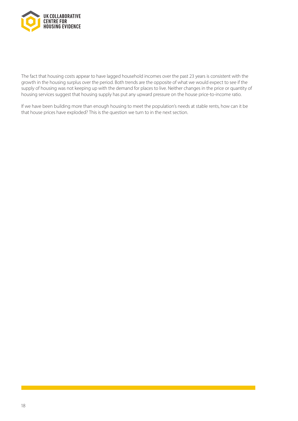

The fact that housing costs appear to have lagged household incomes over the past 23 years is consistent with the growth in the housing surplus over the period. Both trends are the opposite of what we would expect to see if the supply of housing was not keeping up with the demand for places to live. Neither changes in the price or quantity of housing services suggest that housing supply has put any upward pressure on the house price-to-income ratio.

If we have been building more than enough housing to meet the population's needs at stable rents, how can it be that house prices have exploded? This is the question we turn to in the next section.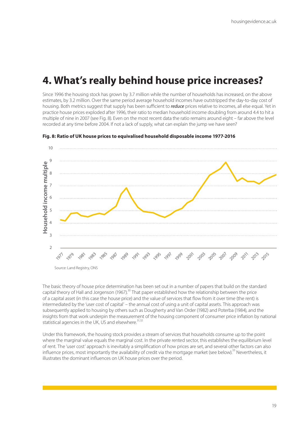# <span id="page-18-0"></span>**4. What's really behind house price increases?**

Since 1996 the housing stock has grown by 3.7 million while the number of households has increased, on the above estimates, by 3.2 million. Over the same period average household incomes have outstripped the day-to-day cost of housing. Both metrics suggest that supply has been sufficient to *reduce* prices relative to incomes, all else equal. Yet in practice house prices exploded after 1996, their ratio to median household income doubling from around 4.4 to hit a multiple of nine in 2007 (see Fig. 8). Even on the most recent data the ratio remains around eight – far above the level recorded at any time before 2004. If not a lack of supply, what can explain the jump we have seen?



**Fig. 8: Ratio of UK house prices to equivalised household disposable income 1977-2016**

The basic theory of house price determination has been set out in a number of papers that build on the standard capital theory of Hall and Jorgenson (1967).<sup>30</sup> That paper established how the relationship between the price of a capital asset (in this case the house price) and the value of services that flow from it over time (the rent) is intermediated by the 'user cost of capital' – the annual cost of using a unit of capital assets. This approach was subsequently applied to housing by others such as Dougherty and Van Order (1982) and Poterba (1984), and the insights from that work underpin the measurement of the housing component of consumer price inflation by national statistical agencies in the UK, US and elsewhere. $31,32$ 

Under this framework, the housing stock provides a stream of services that households consume up to the point where the marginal value equals the marginal cost. In the private rented sector, this establishes the equilibrium level of rent. The 'user cost' approach is inevitably a simplification of how prices are set, and several other factors can also influence prices, most importantly the availability of credit via the mortgage market (see below).<sup>33</sup> Nevertheless, it illustrates the dominant influences on UK house prices over the period.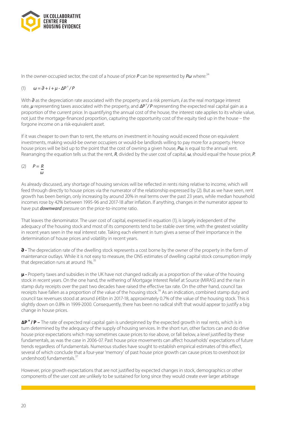

In the owner-occupied sector, the cost of a house of price P can be represented by Pw where:<sup>34</sup>

### (1)  $ω = ∂ + i + μ - ΔP<sup>e</sup> / P$

With *∂* as the depreciation rate associated with the property and a risk premium, *i* as the real mortgage interest rate, **µ** representing taxes associated with the property, and ΔP<sup>e</sup>/P representing the expected real capital gain as a proportion of the current price. In quantifying the annual cost of the house, the interest rate applies to its whole value, not just the mortgage-financed proportion, capturing the opportunity cost of the equity tied up in the house – the forgone income on a risk-equivalent asset.

If it was cheaper to own than to rent, the returns on investment in housing would exceed those on equivalent investments, making would-be owner occupiers or would-be landlords willing to pay more for a property. Hence house prices will be bid up to the point that the cost of owning a given house, *Pω*, is equal to the annual rent. Rearranging the equation tells us that the rent, *R*, divided by the user cost of capital, *ω*, should equal the house price, *P*.

$$
(2) \qquad P = \frac{R}{\omega}
$$

As already discussed, any shortage of housing services will be reflected in rents rising relative to income, which will feed through directly to house prices via the numerator of the relationship expressed by (2). But as we have seen, rent growth has been benign, only increasing by around 20% in real terms over the past 23 years, while median household incomes rose by 42% between 1995-96 and 2017-18 after inflation. If anything, changes in the numerator appear to have put *downward* pressure on the price-to-income ratio.

That leaves the denominator. The user cost of capital, expressed in equation (1), is largely independent of the adequacy of the housing stock and most of its components tend to be stable over time, with the greatest volatility in recent years seen in the real interest rate. Taking each element in turn gives a sense of their importance in the determination of house prices and volatility in recent years.

**∂ -** The depreciation rate of the dwelling stock represents a cost borne by the owner of the property in the form of maintenance outlays. While it is not easy to measure, the ONS estimates of dwelling capital stock consumption imply that depreciation runs at around  $1\%$ .<sup>35</sup>

**μ -** Property taxes and subsidies in the UK have not changed radically as a proportion of the value of the housing stock in recent years. On the one hand, the withering of Mortgage Interest Relief at Source (MIRAS) and the rise in stamp duty receipts over the past two decades have raised the effective tax rate. On the other hand, council tax receipts have fallen as a proportion of the value of the housing stock.<sup>36</sup> As an indication, combined stamp duty and council tax revenues stood at around £45bn in 2017-18, approximately 0.7% of the value of the housing stock. This is slightly down on 0.8% in 1999-2000. Consequently, there has been no radical shift that would appear to justify a big change in house prices.

**∆P e / P –** The rate of expected real capital gain is underpinned by the expected growth in real rents, which is in turn determined by the adequacy of the supply of housing services. In the short run, other factors can and do drive house price expectations which may sometimes cause prices to rise above, or fall below, a level justified by these fundamentals, as was the case in 2006-07. Past house price movements can affect households' expectations of future trends regardless of fundamentals. Numerous studies have sought to establish empirical estimates of this effect, several of which conclude that a four-year 'memory' of past house price growth can cause prices to overshoot (or undershoot) fundamentals $3<sup>3</sup>$ 

However, price growth expectations that are not justified by expected changes in stock, demographics or other components of the user cost are unlikely to be sustained for long since they would create ever larger arbitrage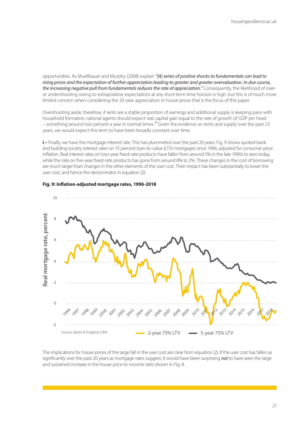opportunities. As Muellbauer and Murphy (2008) explain *"[A] series of positive shocks to fundamentals can lead to rising prices and the expectation of further appreciation leading to greater and greater overvaluation. In due course, the increasing negative pull from fundamentals reduces the rate of appreciation."* Consequently, the likelihood of overor undershooting owing to extrapolative expectations at any short-term time horizon is high, but this is of much more limited concern when considering the 20-year appreciation in house prices that is the focus of this paper.

Overshooting aside, therefore, if rents are a stable proportion of earnings and additional supply is keeping pace with household formation, rational agents should expect real capital gain equal to the rate of growth of GDP per head – something around two percent a year in normal times.<sup>38</sup> Given the evidence on rents and supply over the past 23 years, we would expect this term to have been broadly constant over time.

**i –** Finally, we have the mortgage interest rate. This has plummeted over the past 20 years. Fig. 9 shows quoted bank and building society interest rates on 75 percent loan-to-value (LTV) mortgages since 1996, adjusted for consumer price inflation. Real interest rates on two-year fixed-rate products have fallen from around 5% in the late 1990s to zero today, while the rate on five-year fixed-rate products has gone from around 8% to 2%. These changes in the cost of borrowing are much larger than changes in the other elements of the user cost. Their impact has been substantially to lower the user cost, and hence the denominator in equation (2).



### **Fig. 9: Inflation-adjusted mortgage rates, 1996-2018**

The implications for house prices of the large fall in the user cost are clear from equation (2). If the user cost has fallen as significantly over the past 20 years as mortgage rates suggest, it would have been surprising *not* to have seen the large and sustained increase in the house price-to-income ratio shown in Fig. 8.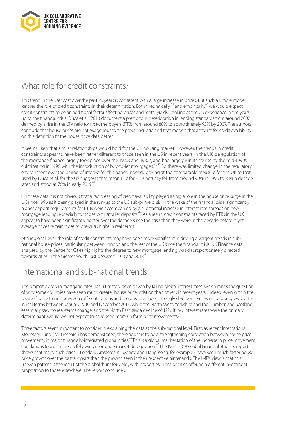

### What role for credit constraints?

This trend in the user cost over the past 20 years is consistent with a large increase in prices. But such a simple model ignores the role of credit constraints in their determination. Both theoretically<sup>39</sup> and empirically,<sup>40</sup> we would expect credit constraints to be an additional factor affecting prices and rental yields. Looking at the US experience in the years up to the financial crisis, Duca et al. (2011) document a precipitous deterioration in lending standards from around 2002, defined by a rise in the LTV ratio for first-time buyers (FTB) from around 88% to approximately 93% by 2007. The authors conclude that house prices are not exogenous to the prevailing ratio and that models that account for credit availability on this definition fit the house price data better.

It seems likely that similar relationships would hold for the UK housing market. However, the trends in credit constraints appear to have been rather different to those seen in the US in recent years. In the UK, deregulation of the mortgage finance largely took place over the 1970s and 1980s, and had largely run its course by the mid-1990s, culminating in 1996 with the introduction of buy-to-let mortgages.<sup>41,42</sup> So there was limited change in the regulatory environment over the period of interest for this paper. Indeed, looking at the comparable measure for the UK to that used by Duca et al. for the US suggests that mean LTV for FTBs actually fell from around 90% in 1996 to 83% a decade later, and stood at 76% in early 2019.<sup>43</sup>

On these data it is not obvious that a rapid easing of credit availability played as big a role in the house price surge in the UK since 1996 as it clearly played in the run-up to the US sub-prime crisis. In the wake of the financial crisis, significantly higher deposit requirements for FTBs were accompanied by a substantial increase in interest rate spreads on new mortgage lending, especially for those with smaller deposits.<sup>44</sup> As a result, credit constraints faced by FTBs in the UK appear to have been significantly tighter over the decade since the crisis than they were in the decade before it, yet average prices remain close to pre-crisis highs in real terms.

At a regional level, the role of credit constraints may have been more significant in driving divergent trends in subnational house prices, particularly between London and the rest of the UK since the financial crisis. UK Finance data analysed by the Centre for Cities highlights the degree to new mortgage lending was disproportionately directed towards cities in the Greater South East between 2013 and 2018.<sup>45</sup>

### International and sub-national trends

The dramatic drop in mortgage rates has ultimately been driven by falling global interest rates, which raises the question of why some countries have seen much greater house price inflation than others in recent years. Indeed, even within the UK itself, price trends between different nations and regions have been strongly divergent. Prices in London grew by 41% in real terms between January 2010 and December 2018, while the North West, Yorkshire and the Humber, and Scotland essentially saw no real-terms change, and the North East saw a decline of 12%. If low interest rates were the primary determinant, would we not expect to have seen more uniform price movements?

Three factors seem important to consider in explaining the data at the sub-national level. First, as recent International Monetary Fund (IMF) research has demonstrated, there appears to be a strengthening correlation between house price movements in major, financially-integrated global cities.<sup>46</sup> This is a global manifestation of the increase in price movement correlations found in the US following mortgage market deregulation.<sup>47</sup> The IMF's 2019 Global Financial Stability report shows that many such cities – London, Amsterdam, Sydney, and Hong Kong, for example - have seen much faster house price growth over the past six years than the growth seen in their respective hinterlands. The IMF's view is that this uneven pattern is the result of the global 'hunt for yield', with properties in major cities offering a different investment proposition to those elsewhere. The report concludes: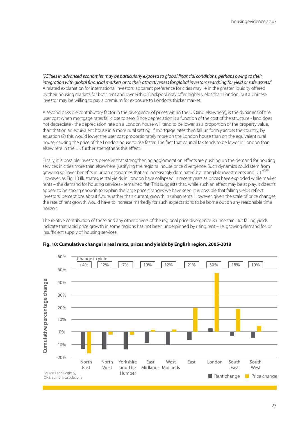*"[C]ities in advanced economies may be particularly exposed to global financial conditions, perhaps owing to their integration with global financial markets or to their attractiveness for global investors searching for yield or safe assets."* A related explanation for international investors' apparent preference for cities may lie in the greater liquidity offered by their housing markets for both rent and ownership: Blackpool may offer higher yields than London, but a Chinese investor may be willing to pay a premium for exposure to London's thicker market.

A second possible contributory factor in the divergence of prices within the UK (and elsewhere), is the dynamics of the user cost when mortgage rates fall close to zero. Since depreciation is a function of the cost of the structure - land does not depreciate - the depreciation rate on a London house will tend to be lower, as a proportion of the property value, than that on an equivalent house in a more rural setting. If mortgage rates then fall uniformly across the country, by equation (2) this would lower the user cost proportionately more on the London house than on the equivalent rural house, causing the price of the London house to rise faster. The fact that council tax tends to be lower in London than elsewhere in the UK further strengthens this effect.

Finally, it is possible investors perceive that strengthening agglomeration effects are pushing up the demand for housing services in cities more than elsewhere, justifying the regional house price divergence. Such dynamics could stem from growing spillover benefits in urban economies that are increasingly dominated by intangible investments and ICT.<sup>48,49</sup> However, as Fig. 10 illustrates, rental yields in London have collapsed in recent years as prices have exploded while market rents – the demand for housing services - remained flat. This suggests that, while such an effect may be at play, it doesn't appear to be strong enough to explain the large price changes we have seen. It is possible that falling yields reflect investors' perceptions about future, rather than current, growth in urban rents. However, given the scale of price changes, the rate of rent growth would have to increase markedly for such expectations to be borne out on any reasonable time horizon.

The relative contribution of these and any other drivers of the regional price divergence is uncertain. But falling yields indicate that rapid price growth in some regions has not been underpinned by rising rent – i.e. growing demand for, or insufficient supply of, housing services.



#### **Fig. 10: Cumulative change in real rents, prices and yields by English region, 2005-2018**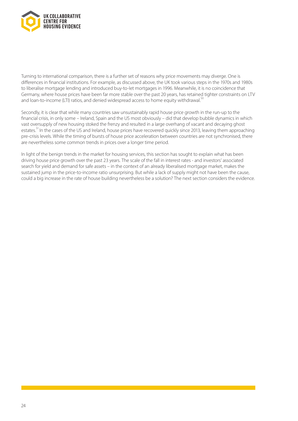

Turning to international comparison, there is a further set of reasons why price movements may diverge. One is differences in financial institutions. For example, as discussed above, the UK took various steps in the 1970s and 1980s to liberalise mortgage lending and introduced buy-to-let mortgages in 1996. Meanwhile, it is no coincidence that Germany, where house prices have been far more stable over the past 20 years, has retained tighter constraints on LTV and loan-to-income (LTI) ratios, and denied widespread access to home equity withdrawal.<sup>50</sup>

Secondly, it is clear that while many countries saw unsustainably rapid house price growth in the run-up to the financial crisis, in only some – Ireland, Spain and the US most obviously – did that develop bubble dynamics in which vast oversupply of new housing stoked the frenzy and resulted in a large overhang of vacant and decaying ghost estates.<sup>51</sup> In the cases of the US and Ireland, house prices have recovered quickly since 2013, leaving them approaching pre-crisis levels. While the timing of bursts of house price acceleration between countries are not synchronised, there are nevertheless some common trends in prices over a longer time period.

In light of the benign trends in the market for housing services, this section has sought to explain what has been driving house price growth over the past 23 years. The scale of the fall in interest rates - and investors' associated search for yield and demand for safe assets – in the context of an already liberalised mortgage market, makes the sustained jump in the price-to-income ratio unsurprising. But while a lack of supply might not have been the cause, could a big increase in the rate of house building nevertheless be a solution? The next section considers the evidence.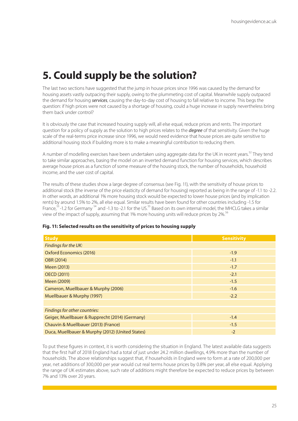# <span id="page-24-0"></span>**5. Could supply be the solution?**

The last two sections have suggested that the jump in house prices since 1996 was caused by the demand for housing assets vastly outpacing their supply, owing to the plummeting cost of capital. Meanwhile supply outpaced the demand for housing *services*, causing the day-to-day cost of housing to fall relative to income. This begs the question: if high prices were not caused by a shortage of housing, could a huge increase in supply nevertheless bring them back under control?

It is obviously the case that increased housing supply will, all else equal, reduce prices and rents. The important question for a policy of supply as the solution to high prices relates to the *degree* of that sensitivity. Given the huge scale of the real-terms price increase since 1996, we would need evidence that house prices are quite sensitive to additional housing stock if building more is to make a meaningful contribution to reducing them.

A number of modelling exercises have been undertaken using aggregate data for the UK in recent years.<sup>52</sup> They tend to take similar approaches, basing the model on an inverted demand function for housing services, which describes average house prices as a function of some measure of the housing stock, the number of households, household income, and the user cost of capital.

The results of these studies show a large degree of consensus (see Fig. 11), with the sensitivity of house prices to additional stock (the inverse of the price elasticity of demand for housing) reported as being in the range of -1.1 to -2.2. In other words, an additional 1% more housing stock would be expected to lower house prices (and by implication rents) by around 1.5% to 2%, all else equal. Similar results have been found for other countries including -1.5 for France,<sup>53</sup>-1.2 for Germany <sup>54</sup> and -1.3 to -2.1 for the US.<sup>55</sup> Based on its own internal model, the MHCLG takes a similar view of the impact of supply, assuming that 1% more housing units will reduce prices by 2%.<sup>56</sup>

| <b>Study</b>                                     | <b>Sensitivity</b> |  |
|--------------------------------------------------|--------------------|--|
| Findings for the UK:                             |                    |  |
| <b>Oxford Economics (2016)</b>                   | $-1.9$             |  |
| OBR (2014)                                       | $-1.1$             |  |
| Meen (2013)                                      | $-1.7$             |  |
| <b>OECD (2011)</b>                               | $-2.1$             |  |
| Meen (2009)                                      | $-1.5$             |  |
| Cameron, Muellbauer & Murphy (2006)              | $-1.6$             |  |
| Muellbauer & Murphy (1997)                       | $-2.2$             |  |
|                                                  |                    |  |
| Findings for other countries:                    |                    |  |
| Geiger, Muellbauer & Rupprecht (2014) (Germany)  | $-1.4$             |  |
| Chauvin & Muellbauer (2013) (France)             | $-1.5$             |  |
| Duca, Muellbauer & Murphy (2012) (United States) | $-2$               |  |

#### **Fig. 11: Selected results on the sensitivity of prices to housing supply**

To put these figures in context, it is worth considering the situation in England. The latest available data suggests that the first half of 2018 England had a total of just under 24.2 million dwellings, 4.9% more than the number of households. The above relationships suggest that, if households in England were to form at a rate of 200,000 per year, net additions of 300,000 per year would cut real terms house prices by 0.8% per year, all else equal. Applying the range of UK estimates above, such rate of additions might therefore be expected to reduce prices by between 7% and 13% over 20 years.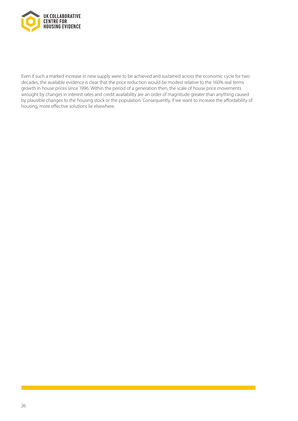

Even if such a marked increase in new supply were to be achieved and sustained across the economic cycle for two decades, the available evidence is clear that the price reduction would be modest relative to the 160% real terms growth in house prices since 1996. Within the period of a generation then, the scale of house price movements wrought by changes in interest rates and credit availability are an order of magnitude greater than anything caused by plausible changes to the housing stock or the population. Consequently, if we want to increase the affordability of housing, more effective solutions lie elsewhere.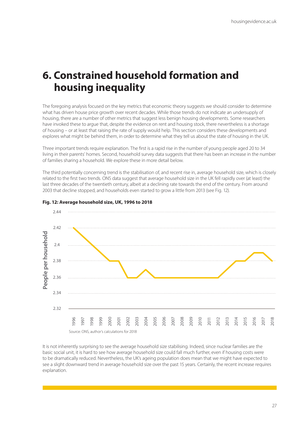# <span id="page-26-0"></span>**6. Constrained household formation and housing inequality**

The foregoing analysis focused on the key metrics that economic theory suggests we should consider to determine what has driven house price growth over recent decades. While those trends do not indicate an undersupply of housing, there are a number of other metrics that suggest less benign housing developments. Some researchers have invoked these to argue that, despite the evidence on rent and housing stock, there nevertheless is a shortage of housing – or at least that raising the rate of supply would help. This section considers these developments and explores what might be behind them, in order to determine what they tell us about the state of housing in the UK.

Three important trends require explanation. The first is a rapid rise in the number of young people aged 20 to 34 living in their parents' homes. Second, household survey data suggests that there has been an increase in the number of families sharing a household. We explore these in more detail below.

The third potentially concerning trend is the stabilisation of, and recent rise in, average household size, which is closely related to the first two trends. ONS data suggest that average household size in the UK fell rapidly over (at least) the last three decades of the twentieth century, albeit at a declining rate towards the end of the century. From around 2003 that decline stopped, and households even started to grow a little from 2013 (see Fig. 12).



#### **Fig. 12: Average household size, UK, 1996 to 2018**

It is not inherently surprising to see the average household size stabilising. Indeed, since nuclear families are the basic social unit, it is hard to see how average household size could fall much further, even if housing costs were to be dramatically reduced. Nevertheless, the UK's ageing population does mean that we might have expected to see a slight downward trend in average household size over the past 15 years. Certainly, the recent increase requires explanation.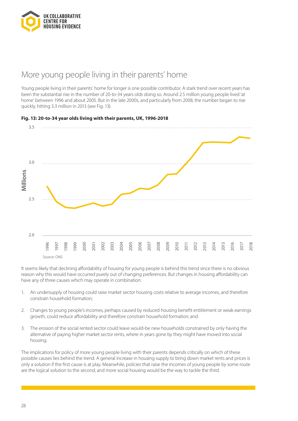

### More young people living in their parents' home

Young people living in their parents' home for longer is one possible contributor. A stark trend over recent years has been the substantial rise in the number of 20-to-34 years olds doing so. Around 2.5 million young people lived 'at home' between 1996 and about 2005. But in the late 2000s, and particularly from 2008, the number began to rise quickly, hitting 3.3 million in 2013 (see Fig. 13).



It seems likely that declining affordability of housing for young people is behind this trend since there is no obvious reason why this would have occurred purely out of changing preferences. But changes in housing affordability can have any of three causes which may operate in combination:

- 1. An undersupply of housing could raise market sector housing costs relative to average incomes, and therefore constrain household formation;
- 2. Changes to young people's incomes, perhaps caused by reduced housing benefit entitlement or weak earnings growth, could reduce affordability and therefore constrain household formation; and
- 3. The erosion of the social rented sector could leave would-be new households constrained by only having the alternative of paying higher market sector rents, where in years gone by they might have moved into social housing.

The implications for policy of more young people living with their parents depends critically on which of these possible causes lies behind the trend. A general increase in housing supply to bring down market rents and prices is only a solution if the first cause is at play. Meanwhile, policies that raise the incomes of young people by some route are the logical solution to the second, and more social housing would be the way to tackle the third.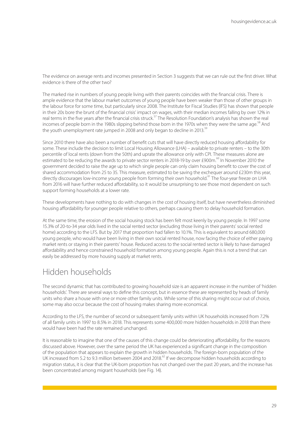The evidence on average rents and incomes presented in Section 3 suggests that we can rule out the first driver. What evidence is there of the other two?

The marked rise in numbers of young people living with their parents coincides with the financial crisis. There is ample evidence that the labour market outcomes of young people have been weaker than those of other groups in the labour force for some time, but particularly since 2008. The Institute for Fiscal Studies (IFS) has shown that people in their 20s bore the brunt of the financial crisis' impact on wages, with their median incomes falling by over 12% in real terms in the five years after the financial crisis struck.<sup>57</sup> The Resolution Foundation's analysis has shown the real incomes of people born in the 1980s slipping behind those born in the 1970s when they were the same age.<sup>58</sup> And the youth unemployment rate jumped in 2008 and only began to decline in 2013.<sup>59</sup>

Since 2010 there have also been a number of benefit cuts that will have directly reduced housing affordability for some. These include the decision to limit Local Housing Allowance (LHA) – available to private renters – to the 30th percentile of local rents (down from the 50th) and uprate the allowance only with CPI. These measures alone are estimated to be reducing the awards to private sector renters in 2018-19 by over £900m.<sup>60</sup> In November 2010 the government decided to raise the age up to which single people can only claim housing benefit to cover the cost of shared accommodation from 25 to 35. This measure, estimated to be saving the exchequer around £230m this year, directly discourages low-income young people from forming their own household.<sup>61</sup> The four-year freeze on LHA from 2016 will have further reduced affordability, so it would be unsurprising to see those most dependent on such support forming households at a lower rate.

These developments have nothing to do with changes in the cost of housing itself, but have nevertheless diminished housing affordability for younger people relative to others, perhaps causing them to delay household formation.

At the same time, the erosion of the social housing stock has been felt most keenly by young people. In 1997 some 15.3% of 20-to-34 year olds lived in the social rented sector (excluding those living in their parents' social rented home) according to the LFS. But by 2017 that proportion had fallen to 10.1%. This is equivalent to around 680,000 young people, who would have been living in their own social rented house, now facing the choice of either paying market rents or staying in their parents' house. Reduced access to the social rented sector is likely to have damaged affordability and hence constrained household formation among young people. Again this is not a trend that can easily be addressed by more housing supply at market rents.

### Hidden households

The second dynamic that has contributed to growing household size is an apparent increase in the number of 'hidden households'. There are several ways to define this concept, but in essence these are represented by heads of family units who share a house with one or more other family units. While some of this sharing might occur out of choice, some may also occur because the cost of housing makes sharing more economical.

According to the LFS, the number of second or subsequent family units within UK households increased from 7.2% of all family units in 1997 to 8.5% in 2018. This represents some 400,000 more hidden households in 2018 than there would have been had the rate remained unchanged.

It is reasonable to imagine that one of the causes of this change could be deteriorating affordability, for the reasons discussed above. However, over the same period the UK has experienced a significant change in the composition of the population that appears to explain the growth in hidden households. The foreign-born population of the UK increased from 5.2 to 9.3 million between 2004 and 2018.<sup>62</sup> If we decompose hidden households according to migration status, it is clear that the UK-born proportion has not changed over the past 20 years, and the increase has been concentrated among migrant households (see Fig. 14).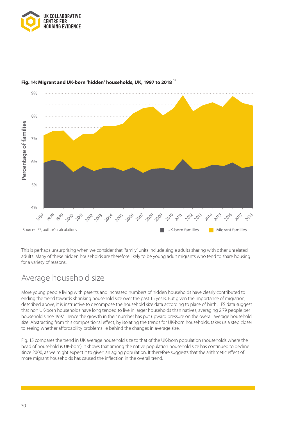



### **Fig. 14: Migrant and UK-born 'hidden' households, UK, 1997 to 2018** <sup>63</sup>

This is perhaps unsurprising when we consider that 'family' units include single adults sharing with other unrelated adults. Many of these hidden households are therefore likely to be young adult migrants who tend to share housing for a variety of reasons.

### Average household size

More young people living with parents and increased numbers of hidden households have clearly contributed to ending the trend towards shrinking household size over the past 15 years. But given the importance of migration, described above, it is instructive to decompose the household size data according to place of birth. LFS data suggest that non UK-born households have long tended to live in larger households than natives, averaging 2.79 people per household since 1997. Hence the growth in their number has put upward pressure on the overall average household size. Abstracting from this compositional effect, by isolating the trends for UK-born households, takes us a step closer to seeing whether affordability problems lie behind the changes in average size.

Fig. 15 compares the trend in UK average household size to that of the UK-born population (households where the head of household is UK-born). It shows that among the native population household size has continued to decline since 2000, as we might expect it to given an aging population. It therefore suggests that the arithmetic effect of more migrant households has caused the inflection in the overall trend.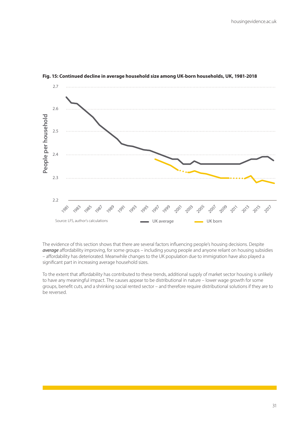

#### **Fig. 15: Continued decline in average household size among UK-born households, UK, 1981-2018**

The evidence of this section shows that there are several factors influencing people's housing decisions. Despite *average* affordability improving, for some groups – including young people and anyone reliant on housing subsidies – affordability has deteriorated. Meanwhile changes to the UK population due to immigration have also played a significant part in increasing average household sizes.

To the extent that affordability has contributed to these trends, additional supply of market sector housing is unlikely to have any meaningful impact. The causes appear to be distributional in nature – lower wage growth for some groups, benefit cuts, and a shrinking social rented sector – and therefore require distributional solutions if they are to be reversed.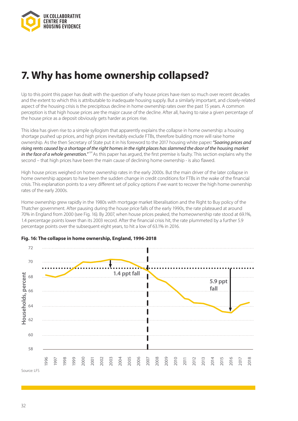<span id="page-31-0"></span>

# **7. Why has home ownership collapsed?**

Up to this point this paper has dealt with the question of why house prices have risen so much over recent decades and the extent to which this is attributable to inadequate housing supply. But a similarly important, and closely-related aspect of the housing crisis is the precipitous decline in home ownership rates over the past 15 years. A common perception is that high house prices are the major cause of the decline. After all, having to raise a given percentage of the house price as a deposit obviously gets harder as prices rise.

This idea has given rise to a simple syllogism that apparently explains the collapse in home ownership: a housing shortage pushed up prices, and high prices inevitably exclude FTBs, therefore building more will raise home ownership. As the then Secretary of State put it in his foreword to the 2017 housing white paper*: "Soaring prices and rising rents caused by a shortage of the right homes in the right places has slammed the door of the housing market* in the face of a whole generation."<sup>64</sup> As this paper has argued, the first premise is faulty. This section explains why the second – that high prices have been the main cause of declining home ownership - is also flawed.

High house prices weighed on home ownership rates in the early 2000s. But the main driver of the later collapse in home ownership appears to have been the sudden change in credit conditions for FTBs in the wake of the financial crisis. This explanation points to a very different set of policy options if we want to recover the high home ownership rates of the early 2000s.

Home ownership grew rapidly in the 1980s with mortgage market liberalisation and the Right to Buy policy of the Thatcher government. After pausing during the house price falls of the early 1990s, the rate plateaued at around 70% in England from 2000 (see Fig. 16). By 2007, when house prices peaked, the homeownership rate stood at 69.1%, 1.4 percentage points lower than its 2003 record. After the financial crisis hit, the rate plummeted by a further 5.9 percentage points over the subsequent eight years, to hit a low of 63.1% in 2016.



### **Fig. 16: The collapse in home ownership, England, 1996-2018**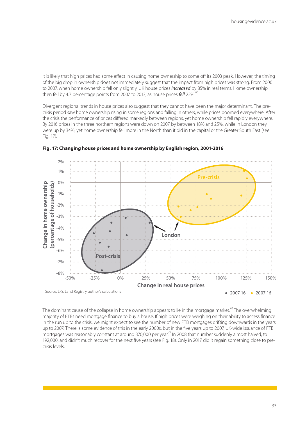It is likely that high prices had some effect in causing home ownership to come off its 2003 peak. However, the timing of the big drop in ownership does not immediately suggest that the impact from high prices was strong. From 2000 to 2007, when home ownership fell only slightly, UK house prices *increased* by 85% in real terms. Home ownership then fell by 4.7 percentage points from 2007 to 2013, as house prices **fell** 22%.<sup>6</sup>

Divergent regional trends in house prices also suggest that they cannot have been the major determinant. The precrisis period saw home ownership rising in some regions and falling in others, while prices boomed everywhere. After the crisis the performance of prices differed markedly between regions, yet home ownership fell rapidly everywhere. By 2016 prices in the three northern regions were down on 2007 by between 18% and 25%, while in London they were up by 34%, yet home ownership fell more in the North than it did in the capital or the Greater South East (see Fig. 17).



**Fig. 17: Changing house prices and home ownership by English region, 2001-2016**

The dominant cause of the collapse in home ownership appears to lie in the mortgage market.<sup>66</sup> The overwhelming majority of FTBs need mortgage finance to buy a house. If high prices were weighing on their ability to access finance in the run up to the crisis, we might expect to see the number of new FTB mortgages drifting downwards in the years up to 2007. There is some evidence of this in the early 2000s, but in the five years up to 2007, UK-wide issuance of FTB mortgages was reasonably constant at around 370,000 per year.<sup>67</sup> In 2008 that number suddenly almost halved, to 192,000, and didn't much recover for the next five years (see Fig. 18). Only in 2017 did it regain something close to precrisis levels.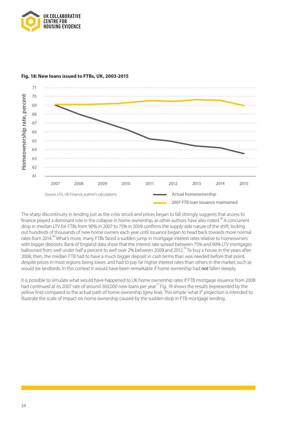

#### **Fig. 18: New loans issued to FTBs, UK, 2003-2015**



The sharp discontinuity in lending just as the crisis struck and prices began to fall strongly suggests that access to finance played a dominant role in the collapse in home ownership, as other authors have also noted.<sup>68</sup> A concurrent drop in median LTV for FTBs from 90% in 2007 to 75% in 2009 confirms the supply side nature of the shift, locking out hundreds of thousands of new home owners each year until issuance began to head back towards more normal rates from 2014.<sup>69</sup> What's more, many FTBs faced a sudden jump in mortgage interest rates relative to homeowners with bigger deposits. Bank of England data show that the interest rate spread between 75% and 90% LTV mortgages ballooned from well under half a percent to well over 2% between 2009 and 2012.<sup>70</sup> To buy a house in the years after 2008, then, the median FTB had to have a much bigger deposit in cash terms than was needed before that point, despite prices in most regions being lower, and had to pay far higher interest rates than others in the market, such as would-be landlords. In this context it would have been remarkable if home ownership had *not* fallen steeply.

It is possible to simulate what would have happened to UK home ownership rates if FTB mortgage issuance from 2008 had continued at its 2007 rate of around 360,000 new loans per year.<sup>71</sup> Fig. 19 shows the results (represented by the yellow line) compared to the actual path of home ownership (grey line). This simple 'what if' projection is intended to illustrate the scale of impact on home ownership caused by the sudden drop in FTB mortgage lending.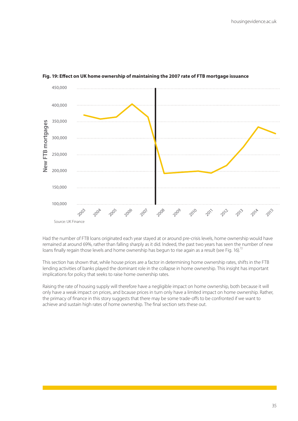

#### **Fig. 19: Effect on UK home ownership of maintaining the 2007 rate of FTB mortgage issuance**

Had the number of FTB loans originated each year stayed at or around pre-crisis levels, home ownership would have remained at around 69%, rather than falling sharply as it did. Indeed, the past two years has seen the number of new loans finally regain those levels and home ownership has begun to rise again as a result (see Fig. 16).<sup>72</sup>

This section has shown that, while house prices are a factor in determining home ownership rates, shifts in the FTB lending activities of banks played the dominant role in the collapse in home ownership. This insight has important implications for policy that seeks to raise home ownership rates.

Raising the rate of housing supply will therefore have a negligible impact on home ownership, both because it will only have a weak impact on prices, and bcause prices in turn only have a limited impact on home ownership. Rather, the primacy of finance in this story suggests that there may be some trade-offs to be confronted if we want to achieve and sustain high rates of home ownership. The final section sets these out.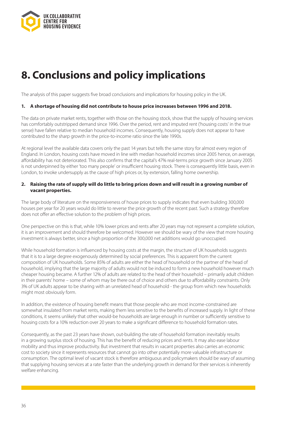<span id="page-35-0"></span>

# **8. Conclusions and policy implications**

The analysis of this paper suggests five broad conclusions and implications for housing policy in the UK.

#### **1. A shortage of housing did not contribute to house price increases between 1996 and 2018.**

The data on private market rents, together with those on the housing stock, show that the supply of housing services has comfortably outstripped demand since 1996. Over the period, rent and imputed rent ('housing costs' in the true sense) have fallen relative to median household incomes. Consequently, housing supply does not appear to have contributed to the sharp growth in the price-to-income ratio since the late 1990s.

At regional level the available data covers only the past 14 years but tells the same story for almost every region of England. In London, housing costs have moved in line with median household incomes since 2005 hence, on average, affordability has not deteriorated. This also confirms that the capital's 47% real-terms price growth since January 2005 is not underpinned by either 'too many people' or insufficient housing stock. There is consequently little basis, even in London, to invoke undersupply as the cause of high prices or, by extension, falling home ownership.

#### **2. Raising the rate of supply will do little to bring prices down and will result in a growing number of vacant properties.**

The large body of literature on the responsiveness of house prices to supply indicates that even building 300,000 houses per year for 20 years would do little to reverse the price growth of the recent past. Such a strategy therefore does not offer an effective solution to the problem of high prices.

One perspective on this is that, while 10% lower prices and rents after 20 years may not represent a complete solution, it is an improvement and should therefore be welcomed. However we should be wary of the view that more housing investment is always better, since a high proportion of the 300,000 net additions would go unoccupied.

While household formation is influenced by housing costs at the margin, the structure of UK households suggests that it is to a large degree exogenously determined by social preferences. This is apparent from the current composition of UK households. Some 85% of adults are either the head of household or the partner of the head of household, implying that the large majority of adults would not be induced to form a new household however much cheaper housing became. A further 12% of adults are related to the head of their household – primarily adult children in their parents' home – some of whom may be there out of choice and others due to affordability constraints. Only 3% of UK adults appear to be sharing with an unrelated head of household - the group from which new households might most obviously form.

In addition, the existence of housing benefit means that those people who are most income-constrained are somewhat insulated from market rents, making them less sensitive to the benefits of increased supply. In light of these conditions, it seems unlikely that other would-be households are large enough in number or sufficiently sensitive to housing costs for a 10% reduction over 20 years to make a significant difference to household formation rates.

Consequently, as the past 23 years have shown, out-building the rate of household formation inevitably results in a growing surplus stock of housing. This has the benefit of reducing prices and rents. It may also ease labour mobility and thus improve productivity. But investment that results in vacant properties also carries an economic cost to society since it represents resources that cannot go into other potentially more valuable infrastructure or consumption. The optimal level of vacant stock is therefore ambiguous and policymakers should be wary of assuming that supplying housing services at a rate faster than the underlying growth in demand for their services is inherently welfare enhancing.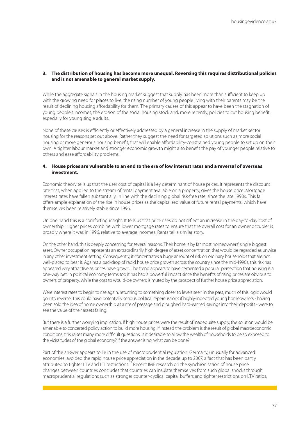### **3. The distribution of housing has become more unequal. Reversing this requires distributional policies and is not amenable to general market supply.**

While the aggregate signals in the housing market suggest that supply has been more than sufficient to keep up with the growing need for places to live, the rising number of young people living with their parents may be the result of declining housing affordability for them. The primary causes of this appear to have been the stagnation of young people's incomes, the erosion of the social housing stock and, more recently, policies to cut housing benefit, especially for young single adults.

None of these causes is efficiently or effectively addressed by a general increase in the supply of market sector housing for the reasons set out above. Rather they suggest the need for targeted solutions such as more social housing or more generous housing benefit, that will enable affordability-constrained young people to set up on their own. A tighter labour market and stronger economic growth might also benefit the pay of younger people relative to others and ease affordability problems.

#### **4. House prices are vulnerable to an end to the era of low interest rates and a reversal of overseas investment.**

Economic theory tells us that the user cost of capital is a key determinant of house prices. It represents the discount rate that, when applied to the stream of rental payment available on a property, gives the house price. Mortgage interest rates have fallen substantially, in line with the declining global risk-free rate, since the late 1990s. This fall offers ample explanation of the rise in house prices as the capitalised value of future rental payments, which have themselves been relatively stable since 1996.

On one hand this is a comforting insight. It tells us that price rises do not reflect an increase in the day-to-day cost of ownership. Higher prices combine with lower mortgage rates to ensure that the overall cost for an owner occupier is broadly where it was in 1996, relative to average incomes. Rents tell a similar story.

On the other hand, this is deeply concerning for several reasons. Their home is by far most homeowners' single biggest asset. Owner occupation represents an extraordinarily high degree of asset concentration that would be regarded as unwise in any other investment setting. Consequently, it concentrates a huge amount of risk on ordinary households that are not well-placed to bear it. Against a backdrop of rapid house price growth across the country since the mid-1990s, this risk has appeared very attractive as prices have grown. The trend appears to have cemented a popular perception that housing is a one-way bet. In political economy terms too it has had a powerful impact since the benefits of rising prices are obvious to owners of property, while the cost to would-be owners is muted by the prospect of further house price appreciation.

Were interest rates to begin to rise again, returning to something closer to levels seen in the past, much of this logic would go into reverse. This could have potentially serious political repercussions if highly-indebted young homeowners - having been sold the idea of home ownership as a rite of passage and ploughed hard-earned savings into their deposits - were to see the value of their assets falling.

But there is a further worrying implication. If high house prices were the result of inadequate supply, the solution would be amenable to concerted policy action to build more housing. If instead the problem is the result of global macroeconomic conditions, this raises many more difficult questions. Is it desirable to allow the wealth of households to be so exposed to the vicissitudes of the global economy? If the answer is no, what can be done?

Part of the answer appears to lie in the use of macroprudential regulation. Germany, unusually for advanced economies, avoided the rapid house price appreciation in the decade up to 2007, a fact that has been partly attributed to tighter LTV and LTI restrictions.<sup>73</sup> Recent IMF research on the synchronisation of house price changes between countries concludes that countries can insulate themselves from such global shocks through macroprudential regulations such as stronger counter-cyclical capital buffers and tighter restrictions on LTV ratios,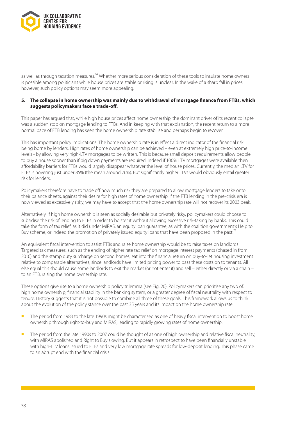

as well as through taxation measures.<sup>74</sup> Whether more serious consideration of these tools to insulate home owners is possible among politicians while house prices are stable or rising is unclear. In the wake of a sharp fall in prices, however, such policy options may seem more appealing.

#### **5. The collapse in home ownership was mainly due to withdrawal of mortgage finance from FTBs, which suggests policymakers face a trade-off.**

This paper has argued that, while high house prices affect home ownership, the dominant driver of its recent collapse was a sudden stop on mortgage lending to FTBs. And in keeping with that explanation, the recent return to a more normal pace of FTB lending has seen the home ownership rate stabilise and perhaps begin to recover.

This has important policy implications. The home ownership rate is in effect a direct indicator of the financial risk being borne by lenders. High rates of home ownership can be achieved – even at extremely high price-to-income levels - by allowing very high-LTV mortgages to be written. This is because small deposit requirements allow people to buy a house sooner than if big down payments are required. Indeed if 100% LTV mortgages were available then affordability barriers for FTBs would largely disappear whatever the level of house prices. Currently, the median LTV for FTBs is hovering just under 85% (the mean around 76%). But significantly higher LTVs would obviously entail greater risk for lenders.

Policymakers therefore have to trade off how much risk they are prepared to allow mortgage lenders to take onto their balance sheets, against their desire for high rates of home ownership. If the FTB lending in the pre-crisis era is now viewed as excessively risky, we may have to accept that the home ownership rate will not recover its 2003 peak.

Alternatively, if high home ownership is seen as socially desirable but privately risky, policymakers could choose to subsidise the risk of lending to FTBs in order to bolster it without allowing excessive risk-taking by banks. This could take the form of tax relief, as it did under MIRAS, an equity loan guarantee, as with the coalition government's Help to Buy scheme, or indeed the promotion of privately issued equity loans that have been proposed in the past.<sup>75</sup>

An equivalent fiscal intervention to assist FTBs and raise home ownership would be to raise taxes on landlords. Targeted tax measures, such as the ending of higher rate tax relief on mortgage interest payments (phased in from 2016) and the stamp duty surcharge on second homes, eat into the financial return on buy-to-let housing investment relative to comparable alternatives, since landlords have limited pricing power to pass these costs on to tenants. All else equal this should cause some landlords to exit the market (or not enter it) and sell – either directly or via a chain – to an FTB, raising the home ownership rate.

These options give rise to a home ownership policy trilemma (see Fig. 20). Policymakers can prioritise any two of: high home ownership, financial stability in the banking system, or a greater degree of fiscal neutrality with respect to tenure. History suggests that it is not possible to combine all three of these goals. This framework allows us to think about the evolution of the policy stance over the past 35 years and its impact on the home ownership rate.

- **n** The period from 1983 to the late 1990s might be characterised as one of heavy fiscal intervention to boost home ownership through right-to-buy and MIRAS, leading to rapidly growing rates of home ownership.
- The period from the late 1990s to 2007 could be thought of as one of high ownership and relative fiscal neutrality, with MIRAS abolished and Right to Buy slowing. But it appears in retrospect to have been financially unstable with high-LTV loans issued to FTBs and very low mortgage rate spreads for low-deposit lending. This phase came to an abrupt end with the financial crisis.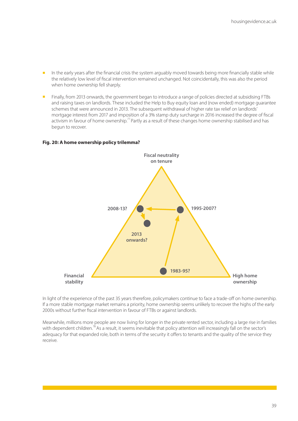- n the early years after the financial crisis the system arguably moved towards being more financially stable while the relatively low level of fiscal intervention remained unchanged. Not coincidentally, this was also the period when home ownership fell sharply.
- **n** Finally, from 2013 onwards, the government began to introduce a range of policies directed at subsidising FTBs and raising taxes on landlords. These included the Help to Buy equity loan and (now ended) mortgage guarantee schemes that were announced in 2013. The subsequent withdrawal of higher rate tax relief on landlords' mortgage interest from 2017 and imposition of a 3% stamp duty surcharge in 2016 increased the degree of fiscal activism in favour of home ownership.<sup>77</sup> Partly as a result of these changes home ownership stabilised and has begun to recover.

# **Fiscal neutrality on tenure High home ownership Financial stability 2008-13? 1995-2007? 1983-95? 2013 onwards?**

#### **Fig. 20: A home ownership policy trilemma?**

In light of the experience of the past 35 years therefore, policymakers continue to face a trade-off on home ownership. If a more stable mortgage market remains a priority, home ownership seems unlikely to recover the highs of the early 2000s without further fiscal intervention in favour of FTBs or against landlords.

Meanwhile, millions more people are now living for longer in the private rented sector, including a large rise in families with dependent children.<sup>78</sup> As a result, it seems inevitable that policy attention will increasingly fall on the sector's adequacy for that expanded role, both in terms of the security it offers to tenants and the quality of the service they receive.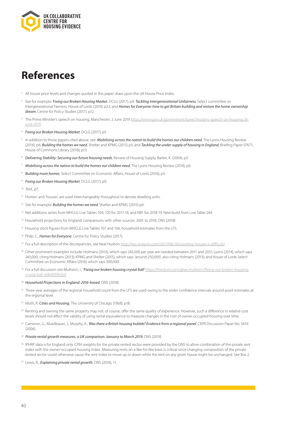<span id="page-39-0"></span>

# **References**

- <sup>1</sup> All house price levels and changes quoted in this paper draw upon the UK House Price Index.
- <sup>2</sup> See for example: *Fixing our Broken Housing Market*, DCLG (2017), p9; *Tackling Intergenerational Unfairness*, Select committee on Intergenerational Fairness, House of Lords (2019), p23; and *Homes for Everyone: how to get Britain building and restore the home ownership dream*, Centre for Policy Studies (2017), p12.
- <sup>3</sup> The Prime Minister's speech on housing, Manchester, 2 June 2019 [https://www.gov.uk/government/speeches/pms-speech-on-housing-26](https://www.gov.uk/government/speeches/pms-speech-on-housing-26-june-2019) [june-2019](https://www.gov.uk/government/speeches/pms-speech-on-housing-26-june-2019)
- <sup>4</sup> *Fixing our Broken Housing Market*, DCLG (2017), p5
- In addition to those papers cited above, see: *Mobilising across the nation to build the homes our children need*, The Lyons Housing Review (2014), p6; *Building the homes we need*, Shelter and KPMG (2015) p3; and *Tackling the under-supply of housing in England*, Briefing Paper 07671, House of Commons Library (2018), p13.
- <sup>6</sup> *Delivering Stability: Securing our future housing needs*, Review of Housing Supply, Barker, K. (2004), p3.
- <sup>7</sup> *Mobilising across the nation to build the homes our children need*, The Lyons Housing Review (2014), p6.
- <sup>8</sup> *Building more homes*, Select Committee on Economic Affairs, House of Lords (2016), p3.
- <sup>9</sup> *Fixing our Broken Housing Market*, DCLG (2017), p9.
- <sup>10</sup> Ibid., p7.
- <sup>11</sup> Homes' and 'houses' are used interchangeably throughout to denote dwelling units.
- <sup>12</sup> See for example: *Building the homes we need*, Shelter and KPMG (2015) p6.
- <sup>13</sup> Net additions series from MHCLG Live Tables 104, 120 for 2017-18, and NB1 for 2018-19. New build from Live Table 244.
- <sup>14</sup> Household projections for England: comparisons with other sources: 2001 to 2018, ONS (2018)
- <sup>15</sup> Housing stock figures from MHCLG Live Tables 107 and 106, household estimates from the LFS.
- <sup>16</sup> Philp, C., *Homes for Everyone*, Centre for Policy Studies (2017).
- <sup>17</sup> For a full description of the discrepancies, see Neal Hudson http://resi-analysts.com/2017/08/29/counting-houses-is-difficult/
- <sup>18</sup> Other prominent examples include: Holmans (2013), which says 243,000 per year are needed between 2011 and 2031; Lyons (2014), which says 243,000, citing Holmans (2013); KPMG and Shelter (2015), which says 'around 250,000', also citing Holmans (2013); and House of Lords Select Committee on Economic Affairs (2016) which says 300,000.
- <sup>19</sup> For a full discussion see Mulheirn, I., *'Fixing our broken housing crystal ball'* https://medium.com/@ian.mulheirn/fixing-our-broken-housingcrystal-ball-6d6405963e0
- <sup>20</sup> *Household Projections in England: 2016-based*, ONS (2018).
- <sup>21</sup> Three-year averages of the regional household count from the LFS are used owing to the wider confidence intervals around point estimates at the regional level.
- <sup>22</sup> Muth, R. *Cities and Housing*, The University of Chicago (1968), p18.
- <sup>23</sup> Renting and owning the same property may not, of course, offer the same quality of experience. However, such a difference in relative cost levels should not affect the validity of using rental equivalence to measure changes in the cost of owner-occupied housing over time.
- <sup>24</sup> Cameron, G., Muellbauer, J., Murphy, A., Was there a British housing bubble? Evidence from a regional panel, CEPR Discussion Paper No. 5619 (2006).
- <sup>25</sup> *Private rental growth measures, a UK comparison: January to March 2019*, ONS (2019).
- <sup>26</sup> IPHRP data is for England only. CPIH weights for the private rented sector were provided by the ONS to allow combination of the private rent index with the owner-occupied housing index. Measuring rents on a like-for-like basis is critical since changing composition of the private rented sector could otherwise cause the rent index to move up or down while the rent on any given house might be unchanged. See Box 2.
- <sup>27</sup> Lewis, R., *Explaining private rental growth*, ONS (2016), 11.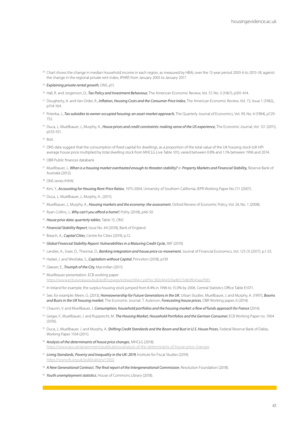- <sup>28</sup> Chart shows the change in median household income in each region, as measured by HBAI, over the 12-year period 2003-6 to 2015-18, against the change in the regional private rent index, IPHRP, from January 2005 to January 2017.
- *Explaining private rental growth*, ONS, p11.
- Hall, R. and Jorgenson, D., *Tax Policy and Investment Behaviour,* The American Economic Review, Vol. 57, No. 3 (1967), p391-414.
- <sup>31</sup> Dougherty, A. and Van Order, R., *Inflation, Housing Costs and the Consumer Price Index*, The American Economic Review, Vol. 72, Issue 1 (1982), p154-164.
- <sup>32</sup> Poterba, J., *Tax subsidies to owner-occupied housing: an asset-market approach*, The Quarterly Journal of Economics, Vol. 99, No. 4 (1984), p729-752.
- <sup>33</sup> Duca, J., Muellbauer, J., Murphy, A., *House prices and credit constraints: making sense of the US experience*, The Economic Journal, Vol. 121 (2011), p533-551.

Ibid.

- ONS data suggest that the consumption of fixed capital for dwellings, as a proportion of the total value of the UK housing stock (UK HPI average house price multiplied by total dwelling stock from MHCLG Live Table 101), varied between 0.8% and 1.1% between 1996 and 2014.
- OBR Public finances databank
- Muellbauer, J., *When is a housing market overheated enough to threaten stability?* in *Property Markets and Financial Stability,* Reserve Bank of Australia (2012).
- ONS series IHXW.
- <sup>39</sup> Kim, Y., *Accounting for Housing Rent-Price Ratios*, 1975-2004, University of Southern California, IEPR Working Paper No.7.11 (2007).
- Duca, J., Muellbauer, J., Murphy, A., (2011).
- Muellbauer, J., Murphy, A., *Housing markets and the economy: the assessment*, Oxford Review of Economic Policy, Vol. 24, No. 1 (2008).
- Ryan-Collins, J., *Why can't you afford a home?*, Polity (2018), p46-50.
- *House price data: quarterly tables*, Table 15, ONS
- *Financial Stability Report*, Issue No. 44 (2018), Bank of England.
- Breach, A., *Capital Cities*, Centre for Cities (2019), p.12.
- *Global Financial Stability Report: Vulnerabilities in a Maturing Credit Cycle,* IMF (2019).
- Landier, A., Sraer, D., Thesmar, D., *Banking integration and house price co-movement*, Journal of Financial Economics, Vol. 125 (1) (2017), p.1-25.
- Haskel, J. and Westlake, S., *Capitalism without Capital*, Princeton (2018), p139
- Glaeser, E., *Triumph of the City*, Macmillan (2011).
- Muellbauer presentation. ECB working paper https://www.ecb.europa.eu/pub/pdf/scpwps/ecbwp1904.n.pdf?ec382c464329adb515db3fb41aa2f981
- In Ireland for example, the surplus housing stock jumped from 8.4% in 1996 to 15.0% by 2006. Central Statistics Office Table E1071.
- See, for example: Meen, G. (2013), *Homeownership for Future Generations in the UK*, Urban Studies. Muellbauer, J. and Murphy, A. (1997), *Booms and Busts in the UK housing market*, The Economic Journal. T. Auterson, *Forecasting house prices*, OBR Working paper, 6 (2014).
- Chauvin, V. and Muellbauer, J. *Consumption, household portfolios and the housing market: a flow of funds approach for France* (2014).
- Geiger, F., Muellbauer, J. and Rupprecht, M. *The Housing Market, Household Portfolios and the German Consumer*, ECB Working Paper no. 1904  $(2016)$
- Duca, J., Muellbauer, J. and Murphy, A. *Shifting Credit Standards and the Boom and Bust in U.S. House Prices*, Federal Reserve Bank of Dallas, Working Paper 1104 (2011).
- *Analysis of the determinants of house price changes*, MHCLG (2018). https://www.gov.uk/government/publications/analysis-of-the-determinants-of-house-price-changes
- *Living Standards, Poverty and Inequality in the UK: 2019*, Institute for Fiscal Studies (2019). https://www.ifs.org.uk/publications/13302
- *A New Generational Contract. The final report of the Intergenerational Commission*, Resolution Foundation (2018).
- *Youth unemployment statistics*, House of Commons Library (2018).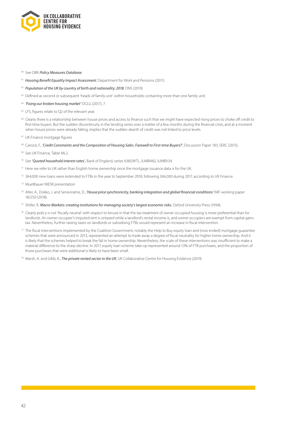

- See OBR *Policy Measures Database*.
- *Housing Benefit Equality Impact Assessment*, Department for Work and Pensions (2011).
- *Population of the UK by country of birth and nationality: 2018*, ONS (2019).
- <sup>63</sup> Defined as second or subsequent 'heads of family unit' within households containing more than one family unit.
- *'Fixing our broken housing market'* DCLG (2017), 7.
- <sup>65</sup> LFS, figures relate to Q2 of the relevant year.
- Clearly there is a relationship between house prices and access to finance such that we might have expected rising prices to choke off credit to first-time buyers. But the sudden discontinuity in the lending series over a matter of a few months during the financial crisis, and at a moment when house prices were already falling, implies that the sudden dearth of credit was not linked to price levels.
- UK Finance mortgage figures

Carozzi, F., *'Credit Constraints and the Composition of Housing Sales. Farewell to First-time Buyers?'*, Discussion Paper 183, SERC (2015).

- See UK Finance, Table ML2.
- See *'Quoted household interest rates',* Bank of England, series IUM2WTL, IUMB482, IUMBV34.
- Here we refer to UK rather than English home ownership since the mortgage issuance data is for the UK.
- 364,000 new loans were extended to FTBs in the year to September 2018, following 366,000 during 2017, according to UK Finance.
- Muellbauer NIESR presentation
- Alter, A., Dokko, J. and Seneviratne, D., *'House price synchronicity, banking integration and global financial conditions'* IMF working paper 18/250 (2018).
- Shiller, R. *Macro Markets: creating institutions for managing society's largest economic risks*, Oxford University Press (1994).
- Clearly policy is not 'fiscally neutral' with respect to tenure in that the tax treatment of owner occupied housing is more preferential than for landlords. An owner occupier's imputed rent is untaxed while a landlord's rental income is, and owner occupiers are exempt from capital gains tax. Nevertheless, further raising taxes on landlords or subsidising FTBs would represent an increase in fiscal intervention.
- The fiscal interventions implemented by the Coalition Government, notably the Help to Buy equity loan and (now ended) mortgage guarantee schemes that were announced in 2013, represented an attempt to trade away a degree of fiscal neutrality for higher home ownership. And it is likely that the schemes helped to break the fall in home ownership. Nevertheless, the scale of these interventions was insufficient to make a material difference to the sharp decline. In 2017, equity loan scheme take-up represented around 13% of FTB purchases, and the proportion of those purchases that were additional is likely to have been small.
- Marsh, A. and Gibb, K., *The private rented sector in the UK*, UK Collaborative Centre for Housing Evidence (2019).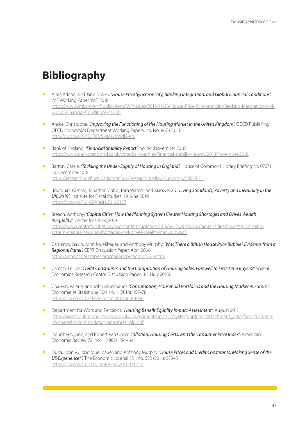# <span id="page-42-0"></span>**Bibliography**

- <sup>n</sup> Alter, Adrian, and Jane Dokko. *'House Price Synchronicity, Banking Integration, and Global Financial Conditions'.* IMF Working Paper. IMF, 2018. https://www.imf.org/en/Publications/WP/Issues/2018/11/28/House-Price-Synchronicity-Banking-Integration-and-Global-Financial-Conditions-46380.
- <sup>n</sup> André, Christophe. *'Improving the Functioning of the Housing Market in the United Kingdom'*. OECD Publishing, OECD Economics Department Working Papers, no. No. 867 (2011). http://dx.doi.org/10.1787/5kgc42th5df2-en.
- Bank of England. **'Financial Stability Report'**, no. 44 (November 2018). https://www.bankofengland.co.uk/-/media/boe/files/financial-stability-report/2018/november-2018
- **n** Barton, Cassie. *'Tackling the Under-Supply of Housing in England'*. House of Commons Library Briefing No 07671, 10 December 2018. https://researchbriefings.parliament.uk/ResearchBriefing/Summary/CBP-7671.
- Bourquin, Pascale, Jonathan Cribb, Tom Waters, and Xiaowei Xu. *'Living Standards, Poverty and Inequality in the UK: 2019'.* Institute for Fiscal Studies, 19 June 2019. https://doi.org/10.1920/re.ifs.2019.0157.
- Breach, Anthony. *'Capital Cities: How the Planning System Creates Housing Shortages and Drives Wealth Inequality'*. Centre for Cities, 2019. https://www.centreforcities.org/wp-content/uploads/2019/06/2019-06-10-Capital-cities-how-the-planningsystem-creates-housing-shortages-and-drives-wealth-inequality.pdf.
- <sup>n</sup> Cameron, Gavin, John Muellbauer, and Anthony Murphy. *'Was There a British House Price Bubble? Evidence from a Regional Panel'.* CEPR Discussion Paper, April 2006. https://econpapers.repec.org/paper/cprceprdp/5619.htm.
- <sup>n</sup> Carozzi, Felipe. *'Credit Constraints and the Composition of Housing Sales. Farewell to First-Time Buyers?'* Spatial Economics Research Centre Discussion Paper 183 (July 2015).
- <sup>n</sup> Chauvin, Valérie, and John Muellbauer. *'Consumption, Household Portfolios and the Housing Market in France'.*  Economie et Statistique 500, no. 1 (2018): 157–78. https://doi.org/10.24187/ecostat.2018.500t.1950.
- <sup>n</sup> Department for Work and Pensions. *'Housing Benefit Equality Impact Assessment'*, August 2011. https://assets.publishing.service.gov.uk/government/uploads/system/uploads/attachment\_data/file/220261/eiahb-shared-accommodation-age-threshold.pdf.
- n Dougherty, Ann, and Robert Van Order. *'Inflation, Housing Costs, and the Consumer Price Index'*. American Economic Review 72, no. 1 (1982): 154–64.
- <sup>n</sup> Duca, John V., John Muellbauer, and Anthony Murphy. *'House Prices and Credit Constraints: Making Sense of the US Experience\*'.* The Economic Journal 121, no. 552 (2011): 533–51. https://doi.org/10.1111/j.1468-0297.2011.02424.x.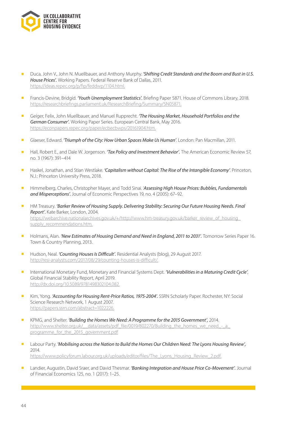

- <sup>n</sup> Duca, John V., John N. Muellbauer, and Anthony Murphy. *'Shifting Credit Standards and the Boom and Bust in U.S. House Prices'.* Working Papers. Federal Reserve Bank of Dallas, 2011. https://ideas.repec.org/p/fip/feddwp/1104.html.
- <sup>n</sup> Francis-Devine, Bridgid. *'Youth Unemployment Statistics'.* Briefing Paper 5871. House of Commons Library, 2018. https://researchbriefings.parliament.uk/ResearchBriefing/Summary/SN05871.
- <sup>n</sup> Geiger, Felix, John Muellbauer, and Manuel Rupprecht. *'The Housing Market, Household Portfolios and the German Consumer'.* Working Paper Series. European Central Bank, May 2016. https://econpapers.repec.org/paper/ecbecbwps/20161904.htm.
- <sup>n</sup> Glaeser, Edward. *'Triumph of the City: How Urban Spaces Make Us Human'*. London: Pan Macmillan, 2011.
- <sup>n</sup> Hall, Robert E., and Dale W. Jorgenson. *'Tax Policy and Investment Behavior'.* The American Economic Review 57, no. 3 (1967): 391–414
- <sup>n</sup> Haskel, Jonathan, and Stian Westlake. *'Capitalism without Capital: The Rise of the Intangible Economy'*. Princeton, N.J.: Princeton University Press, 2018.
- Himmelberg, Charles, Christopher Mayer, and Todd Sinai. 'Assessing High House Prices: Bubbles, Fundamentals *and Misperceptions'.* Journal of Economic Perspectives 19, no. 4 (2005): 67–92.
- HM Treasury. *'Barker Review of Housing Supply. Delivering Stability: Securing Our Future Housing Needs. Final Report'.* Kate Barker, London, 2004. https://webarchive.nationalarchives.gov.uk/+/http://www.hm-treasury.gov.uk/barker\_review\_of\_housing supply\_recommendations.htm.
- <sup>n</sup> Holmans, Alan. *'New Estimates of Housing Demand and Need in England, 2011 to 2031'.* Tomorrow Series Paper 16. Town & Country Planning, 2013.
- **Hudson, Neal.** *'Counting Houses Is Difficult'*. Residential Analysts (blog), 29 August 2017. http://resi-analysts.com/2017/08/29/counting-houses-is-difficult/.
- <sup>n</sup> International Monetary Fund, Monetary and Financial Systems Dept. *'Vulnerabilities in a Maturing Credit Cycle'*, Global Financial Stability Report, April 2019. http://dx.doi.org/10.5089/9781498302104.082.
- <sup>n</sup> Kim, Yong. *'Accounting for Housing Rent-Price Ratios, 1975-2004'.* SSRN Scholarly Paper. Rochester, NY: Social Science Research Network, 1 August 2007. https://papers.ssrn.com/abstract=1022226.
- <sup>n</sup> KPMG, and Shelter. *'Building the Homes We Need: A Programme for the 2015 Government',* 2014. http://www.shelter.org.uk/ data/assets/pdf\_file/0019/802270/Building\_the\_homes\_we\_need\_-\_a programme\_for\_the\_2015\_government.pdf
- <sup>n</sup> Labour Party. *'Mobilising across the Nation to Build the Homes Our Children Need: The Lyons Housing Review',* 2014. https://www.policyforum.labour.org.uk/uploads/editor/files/The\_Lyons\_Housing\_Review\_2.pdf.
- <sup>n</sup> Landier, Augustin, David Sraer, and David Thesmar. *'Banking Integration and House Price Co-Movement'.* Journal of Financial Economics 125, no. 1 (2017): 1–25.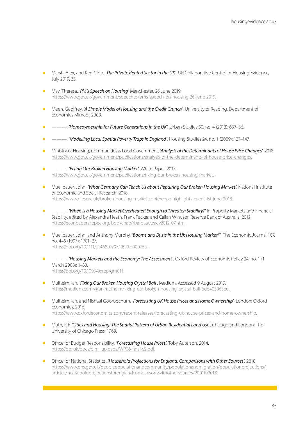- <sup>n</sup> Marsh, Alex, and Ken Gibb. *'The Private Rented Sector in the UK'.* UK Collaborative Centre for Housing Evidence, July 2019, 35.
- May, Theresa. **'PM's Speech on Housing'** Manchester, 26 June 2019. https://www.gov.uk/government/speeches/pms-speech-on-housing-26-june-2019.
- <sup>n</sup> Meen, Geoffrey. *'A Simple Model of Housing and the Credit Crunch'.* University of Reading, Department of Economics Mimeo., 2009.
- <sup>n</sup> ———. *'Homeownership for Future Generations in the UK'.* Urban Studies 50, no. 4 (2013): 637–56.
- ———. *'Modelling Local Spatial Poverty Traps in England'*. Housing Studies 24, no. 1 (2009): 127–147.
- <sup>n</sup> Ministry of Housing, Communities & Local Government. *'Analysis of the Determinants of House Price Changes'*, 2018. https://www.gov.uk/government/publications/analysis-of-the-determinants-of-house-price-changes.
- <sup>n</sup> ———. *'Fixing Our Broken Housing Market'*. White Paper, 2017. https://www.gov.uk/government/publications/fixing-our-broken-housing-market.
- <sup>n</sup> Muellbauer, John. *'What Germany Can Teach Us about Repairing Our Broken Housing Market'*. National Institute of Economic and Social Research, 2018. https://www.niesr.ac.uk/broken-housing-market-conference-highlights-event-1st-june-2018.
- <sup>n</sup> ———. *'When Is a Housing Market Overheated Enough to Threaten Stability?'* In Property Markets and Financial Stability, edited by Alexandra Heath, Frank Packer, and Callan Windsor. Reserve Bank of Australia, 2012. https://econpapers.repec.org/bookchap/rbarbaacv/acv2012-07.htm.
- n Muellbauer, John, and Anthony Murphy. *'Booms and Busts in the Uk Housing Market<sup>\*</sup>'*. The Economic Journal 107, no. 445 (1997): 1701–27. https://doi.org/10.1111/j.1468-0297.1997.tb00076.x.
- <sup>n</sup> ———. *'Housing Markets and the Economy: The Assessment'.* Oxford Review of Economic Policy 24, no. 1 (1 March 2008): 1–33. https://doi.org/10.1093/oxrep/grn011.
- **n** Mulheirn, Ian. *'Fixing Our Broken Housing Crystal Ball'*. Medium. Accessed 9 August 2019. https://medium.com/@ian.mulheirn/fixing-our-broken-housing-crystal-ball-6d6405963e0.
- n Mulheirn, Ian, and Nishaal Gooroochurn. 'Forecasting UK House Prices and Home Ownership'. London: Oxford Economics, 2016. https://www.oxfordeconomics.com/recent-releases/forecasting-uk-house-prices-and-home-ownership.
- n Muth, R.F. 'Cities and Housing: The Spatial Pattern of Urban Residential Land Use'. Chicago and London: The University of Chicago Press, 1969.
- Office for Budget Responsibility. **'Forecasting House Prices'**. Toby Auterson, 2014. https://obr.uk/docs/dlm\_uploads/WP06-final-v2.pdf.
- <sup>n</sup> Office for National Statistics. *'Household Projections for England, Comparisons with Other Sources',* 2018. https://www.ons.gov.uk/peoplepopulationandcommunity/populationandmigration/populationprojections/ articles/householdprojectionsforenglandcomparisonswithothersources/2001to2018.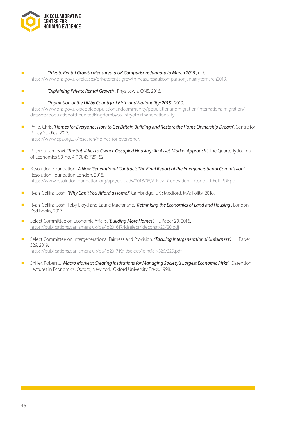

<sup>n</sup> ———. *'Private Rental Growth Measures, a UK Comparison: January to March 2019'*, n.d. https://www.ons.gov.uk/releases/privaterentalgrowthmeasuresaukcomparisonjanuarytomarch2019.

■ ———. *'Explaining Private Rental Growth'*. Rhys Lewis. ONS, 2016.

- ———. *'Population of the UK by Country of Birth and Nationality: 2018'*, 2019. https://www.ons.gov.uk/peoplepopulationandcommunity/populationandmigration/internationalmigration/ datasets/populationoftheunitedkingdombycountryofbirthandnationality.
- <sup>n</sup> Philp, Chris. *'Homes for Everyone : How to Get Britain Building and Restore the Home Ownership Dream'.* Centre for Policy Studies, 2017. https://www.cps.org.uk/research/homes-for-everyone/.
- Poterba, James M. *'Tax Subsidies to Owner-Occupied Housing: An Asset-Market Approach'*. The Quarterly Journal of Economics 99, no. 4 (1984): 729–52.
- **n** Resolution Foundation. '*A New Generational Contract: The Final Report of the Intergenerational Commission'.* Resolution Foundation London, 2018. https://www.resolutionfoundation.org/app/uploads/2018/05/A-New-Generational-Contract-Full-PDF.pdf
- <sup>n</sup> Ryan-Collins, Josh. *'Why Can't You Afford a Home?'* Cambridge, UK ; Medford, MA: Polity, 2018.
- <sup>n</sup> Ryan-Collins, Josh, Toby Lloyd and Laurie Macfarlane. *'Rethinking the Economics of Land and Housing'*. London: Zed Books, 2017.
- Select Committee on Economic Affairs. 'Building More Homes'. HL Paper 20, 2016. https://publications.parliament.uk/pa/ld201617/ldselect/ldeconaf/20/20.pdf
- <sup>n</sup> Select Committee on Intergenerational Fairness and Provision. *'Tackling Intergenerational Unfairness'.* HL Paper 329, 2019. https://publications.parliament.uk/pa/ld201719/ldselect/ldintfair/329/329.pdf.
- <sup>n</sup> Shiller, Robert J. *'Macro Markets: Creating Institutions for Managing Society's Largest Economic Risks'.* Clarendon Lectures in Economics. Oxford, New York: Oxford University Press, 1998.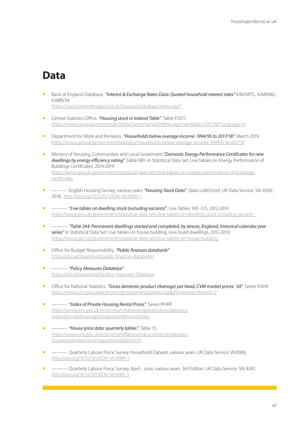# <span id="page-46-0"></span>**Data**

<sup>n</sup> Bank of England Database. *"Interest & Exchange Rates Data: Quoted household interest rates"* IUM2WTL, IUMB482, IUMBV34.

https://www.bankofengland.co.uk/boeapps/database/index.asp?

- <sup>n</sup> Central Statistics Office. *"Housing stock in Ireland Table".* Table E1071. https://www.cso.ie/px/pxeirestat/Statire/SelectVarVal/Define.asp?maintable=E1071&PLanguage=0
- <sup>n</sup> Department for Work and Pensions. *"Households below average income: 1994/95 to 2017/18"*, March 2019 https://www.gov.uk/government/statistics/households-below-average-income-199495-to-201718
- <sup>n</sup> Ministry of Housing, Communities and Local Goverment.*"Domestic Energy Performance Certificates for new dwellings by energy efficiency rating"* ,Table NB1 in Statistical Data Set: Live tables on Energy Performance of Buildings Certificates, 2014-2019 [https://www.gov.uk/government/statistical-data-sets/live-tables-on-energy-performance-of-buildings](https://www.gov.uk/government/statistical-data-sets/live-tables-on-energy-performance-of-buildings-certificates)[certificates](https://www.gov.uk/government/statistical-data-sets/live-tables-on-energy-performance-of-buildings-certificates)
- <sup>n</sup> ———. English Housing Survey, various years: *"Housing Stock Data"*. [data collection]. UK Data Service. SN: 8350, 2018, <http://doi.org/10.5255/UKDA-SN-8350-1>
- <sup>n</sup> ———. *"Live tables on dwelling stock (including vacants)"*, Live Tables 100 -125, 2012-2019. <https://www.gov.uk/government/statistical-data-sets/live-tables-on-dwelling-stock-including-vacants>-
- <sup>n</sup> ———. *"Table 244: Permanent dwellings started and completed, by tenure, England, historical calendar year series"* in Statistical Data Set: Live tables on house building: new build dwellings, 2012-2019 <https://www.gov.uk/government/statistical-data-sets/live-tables-on-house-building>
- <sup>n</sup> Office for Budget Responsibility. *"Public finances databank"* <https://obr.uk/download/public-finances-databank/>
- <sup>n</sup> ———. *"Policy Measures Database"* <https://obr.uk/download/policy-measures->Database
- <sup>n</sup> Office for National Statistics. *"Gross domestic product (Average) per head, CVM market prices: SA"*, Series IHXW <https://www.ons.gov.uk/economy/grossdomesticproductgdp/timeseries/ihxw/pn2>
- <sup>n</sup> ———. *"Index of Private Housing Rental Prices"*, Series IPHRP [https://www.ons.gov.uk/economy/inflationandpriceindices/datasets/](https://www.ons.gov.uk/economy/inflationandpriceindices/datasets/indexofprivatehousingrentalpricesreferencetables) [indexofprivatehousingrentalpricesreferencetables](https://www.ons.gov.uk/economy/inflationandpriceindices/datasets/indexofprivatehousingrentalpricesreferencetables)
- <sup>n</sup> ———. *"House price data: quarterly tables"*, Table 15, [https://www.ons.gov.uk/economy/inflationandpriceindices/datasets/](https://www.ons.gov.uk/economy/inflationandpriceindices/datasets/housepricein) [housepricein](https://www.ons.gov.uk/economy/inflationandpriceindices/datasets/housepricein)dexmonthlyquarterlytables1to19
- <sup>n</sup> ———. Quarterly Labour Force Survey Household Dataset, various years. UK Data Service SN:8389, <http://doi.org/10.5255/UKDA-SN-8389-1>
- <sup>n</sup> ———. Quarterly Labour Force Survey, April June, various years. 3rd Edition. UK Data Service. SN: 8381, http://doi.org/10.5255/UKDA-SN-8381-3